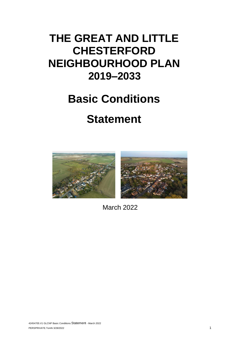## **THE GREAT AND LITTLE CHESTERFORD NEIGHBOURHOOD PLAN 2019–2033**

## **Basic Conditions**

# **Statement**



March 2022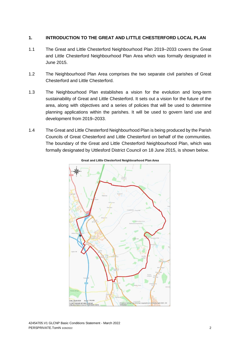## **1. INTRODUCTION TO THE GREAT AND LITTLE CHESTERFORD LOCAL PLAN**

- 1.1 The Great and Little Chesterford Neighbourhood Plan 2019–2033 covers the Great and Little Chesterford Neighbourhood Plan Area which was formally designated in June 2015.
- 1.2 The Neighbourhood Plan Area comprises the two separate civil parishes of Great Chesterford and Little Chesterford.
- 1.3 The Neighbourhood Plan establishes a vision for the evolution and long-term sustainability of Great and Little Chesterford. It sets out a vision for the future of the area, along with objectives and a series of policies that will be used to determine planning applications within the parishes. It will be used to govern land use and development from 2019–2033.
- 1.4 The Great and Little Chesterford Neighbourhood Plan is being produced by the Parish Councils of Great Chesterford and Little Chesterford on behalf of the communities. The boundary of the Great and Little Chesterford Neighbourhood Plan, which was formally designated by Uttlesford District Council on 18 June 2015, is shown below.



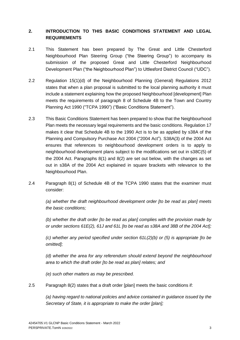## **2. INTRODUCTION TO THIS BASIC CONDITIONS STATEMENT AND LEGAL REQUIREMENTS**

- 2.1 This Statement has been prepared by The Great and Little Chesterford Neighbourhood Plan Steering Group ("the Steering Group") to accompany its submission of the proposed Great and Little Chesterford Neighbourhood Development Plan ("the Neighbourhood Plan") to Uttlesford District Council ("UDC").
- 2.2 Regulation 15(1)(d) of the Neighbourhood Planning (General) Regulations 2012 states that when a plan proposal is submitted to the local planning authority it must include a statement explaining how the proposed Neighbourhood [development] Plan meets the requirements of paragraph 8 of Schedule 4B to the Town and Country Planning Act 1990 ("TCPA 1990") ("Basic Conditions Statement").
- 2.3 This Basic Conditions Statement has been prepared to show that the Neighbourhood Plan meets the necessary legal requirements and the basic conditions. Regulation 17 makes it clear that Schedule 4B to the 1990 Act is to be as applied by s38A of the Planning and Compulsory Purchase Act 2004 ("2004 Act"). S38A(3) of the 2004 Act ensures that references to neighbourhood development orders is to apply to neighbourhood development plans subject to the modifications set out in s38C(5) of the 2004 Act. Paragraphs 8(1) and 8(2) are set out below, with the changes as set out in s38A of the 2004 Act explained in square brackets with relevance to the Neighbourhood Plan.
- 2.4 Paragraph 8(1) of Schedule 4B of the TCPA 1990 states that the examiner must consider:

*(a) whether the draft neighbourhood development order [to be read as plan] meets the basic conditions;* 

*(b) whether the draft order [to be read as plan] complies with the provision made by or under sections 61E(2), 61J and 61L [to be read as s38A and 38B of the 2004 Act];*

*(c) whether any period specified under section 61L(2)(b) or (5) is appropriate [to be omitted];*

*(d) whether the area for any referendum should extend beyond the neighbourhood area to which the draft order [to be read as plan] relates; and*

*(e) such other matters as may be prescribed.* 

2.5 Paragraph 8(2) states that a draft order [plan] meets the basic conditions if:

*(a) having regard to national policies and advice contained in guidance issued by the Secretary of State, it is appropriate to make the order [plan];*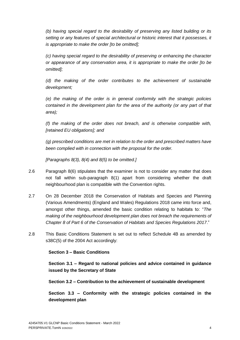*(b) having special regard to the desirability of preserving any listed building or its setting or any features of special architectural or historic interest that it possesses, it is appropriate to make the order [to be omitted];*

*(c) having special regard to the desirability of preserving or enhancing the character or appearance of any conservation area, it is appropriate to make the order [to be omitted];*

*(d) the making of the order contributes to the achievement of sustainable development;*

*(e) the making of the order is in general conformity with the strategic policies contained in the development plan for the area of the authority (or any part of that area);*

*(f) the making of the order does not breach, and is otherwise compatible with, [retained EU obligations]; and*

*(g) prescribed conditions are met in relation to the order and prescribed matters have been complied with in connection with the proposal for the order.*

*[Paragraphs 8(3), 8(4) and 8(5) to be omitted.]*

- 2.6 Paragraph 8(6) stipulates that the examiner is not to consider any matter that does not fall within sub-paragraph 8(1) apart from considering whether the draft neighbourhood plan is compatible with the Convention rights.
- 2.7 On 28 December 2018 the Conservation of Habitats and Species and Planning (Various Amendments) (England and Wales) Regulations 2018 came into force and, amongst other things, amended the basic condition relating to habitats to: "*The making of the neighbourhood development plan does not breach the requirements of Chapter 8 of Part 6 of the Conservation of Habitats and Species Regulations 2017*."
- 2.8 This Basic Conditions Statement is set out to reflect Schedule 4B as amended by s38C(5) of the 2004 Act accordingly:

## **Section 3 – Basic Conditions**

**Section 3.1 – Regard to national policies and advice contained in guidance issued by the Secretary of State**

**Section 3.2 – Contribution to the achievement of sustainable development**

**Section 3.3 – Conformity with the strategic policies contained in the development plan**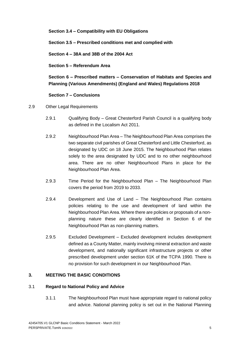**Section 3.4 – Compatibility with EU Obligations**

**Section 3.5 – Prescribed conditions met and complied with**

**Section 4 – 38A and 38B of the 2004 Act**

**Section 5 – Referendum Area**

**Section 6 – Prescribed matters – Conservation of Habitats and Species and Planning (Various Amendments) (England and Wales) Regulations 2018**

#### **Section 7 – Conclusions**

- 2.9 Other Legal Requirements
	- 2.9.1 Qualifying Body Great Chesterford Parish Council is a qualifying body as defined in the Localism Act 2011.
	- 2.9.2 Neighbourhood Plan Area The Neighbourhood Plan Area comprises the two separate civil parishes of Great Chesterford and Little Chesterford, as designated by UDC on 18 June 2015. The Neighbourhood Plan relates solely to the area designated by UDC and to no other neighbourhood area. There are no other Neighbourhood Plans in place for the Neighbourhood Plan Area.
	- 2.9.3 Time Period for the Neighbourhood Plan The Neighbourhood Plan covers the period from 2019 to 2033.
	- 2.9.4 Development and Use of Land The Neighbourhood Plan contains policies relating to the use and development of land within the Neighbourhood Plan Area. Where there are policies or proposals of a nonplanning nature these are clearly identified in Section 6 of the Neighbourhood Plan as non-planning matters.
	- 2.9.5 Excluded Development Excluded development includes development defined as a County Matter, mainly involving mineral extraction and waste development, and nationally significant infrastructure projects or other prescribed development under section 61K of the TCPA 1990. There is no provision for such development in our Neighbourhood Plan.

## **3. MEETING THE BASIC CONDITIONS**

#### 3.1 **Regard to National Policy and Advice**

3.1.1 The Neighbourhood Plan must have appropriate regard to national policy and advice. National planning policy is set out in the National Planning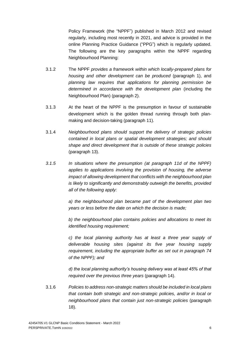Policy Framework (the "NPPF") published in March 2012 and revised regularly, including most recently in 2021, and advice is provided in the online Planning Practice Guidance ("PPG") which is regularly updated. The following are the key paragraphs within the NPPF regarding Neighbourhood Planning:

- 3.1.2 The NPPF *provides a framework within which locally-prepared plans for housing and other development can be produced* (paragraph 1), and *planning law requires that applications for planning permission be determined in accordance with the development plan* (including the Neighbourhood Plan) (paragraph 2).
- 3.1.3 At the heart of the NPPF is the presumption in favour of sustainable development which is the golden thread running through both planmaking and decision-taking (paragraph 11).
- 3.1.4 *Neighbourhood plans should support the delivery of strategic policies contained in local plans or spatial development strategies; and should shape and direct development that is outside of these strategic policies* (paragraph 13).
- *3.1.5 In situations where the presumption (at paragraph 11d of the NPPF) applies to applications involving the provision of housing, the adverse impact of allowing development that conflicts with the neighbourhood plan is likely to significantly and demonstrably outweigh the benefits, provided all of the following apply:*

*a) the neighbourhood plan became part of the development plan two years or less before the date on which the decision is made;* 

*b) the neighbourhood plan contains policies and allocations to meet its identified housing requirement;* 

*c) the local planning authority has at least a three year supply of deliverable housing sites (against its five year housing supply requirement, including the appropriate buffer as set out in paragraph 74 of the NPPF); and* 

*d) the local planning authority's housing delivery was at least 45% of that required over the previous three years* (paragraph 14).

3.1.6 *Policies to address non-strategic matters should be included in local plans that contain both strategic and non-strategic policies, and/or in local or neighbourhood plans that contain just non-strategic policies* (paragraph 18).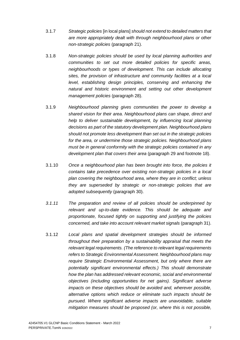- 3.1.7 *Strategic policies* [in local plans] *should not extend to detailed matters that are more appropriately dealt with through neighbourhood plans or other non-strategic policies* (paragraph 21).
- 3.1.8 *Non-strategic policies should be used by local planning authorities and communities to set out more detailed policies for specific areas, neighbourhoods or types of development. This can include allocating sites, the provision of infrastructure and community facilities at a local level, establishing design principles, conserving and enhancing the natural and historic environment and setting out other development management policies* (paragraph 28).
- 3.1.9 *Neighbourhood planning gives communities the power to develop a shared vision for their area. Neighbourhood plans can shape, direct and help to deliver sustainable development, by influencing local planning decisions as part of the statutory development plan. Neighbourhood plans should not promote less development than set out in the strategic policies for the area, or undermine those strategic policies. Neighbourhood plans must be in general conformity with the strategic policies contained in any development plan that covers their area* (paragraph 29 and footnote 18).
- 3.1.10 *Once a neighbourhood plan has been brought into force, the policies it contains take precedence over existing non-strategic policies in a local plan covering the neighbourhood area, where they are in conflict; unless they are superseded by strategic or non-strategic policies that are adopted subsequently* (paragraph 30).
- *3.1.11 The preparation and review of all policies should be underpinned by relevant and up-to-date evidence. This should be adequate and proportionate, focused tightly on supporting and justifying the policies concerned, and take into account relevant market signals* (paragraph 31).
- 3.1.12 *Local plans and spatial development strategies should be informed throughout their preparation by a sustainability appraisal that meets the relevant legal requirements. (The reference to relevant legal requirements refers to Strategic Environmental Assessment. Neighbourhood plans may require Strategic Environmental Assessment, but only where there are potentially significant environmental effects.) This should demonstrate how the plan has addressed relevant economic, social and environmental objectives (including opportunities for net gains). Significant adverse impacts on these objectives should be avoided and, wherever possible, alternative options which reduce or eliminate such impacts should be pursued. Where significant adverse impacts are unavoidable, suitable mitigation measures should be proposed (or, where this is not possible,*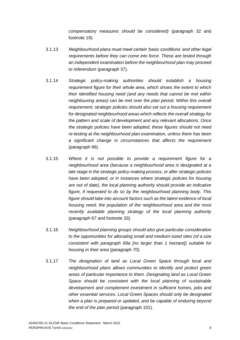*compensatory measures should be considered)* (paragraph 32 and footnote 19).

- 3.1.13 *Neighbourhood plans must meet certain 'basic conditions' and other legal requirements before they can come into force. These are tested through an independent examination before the neighbourhood plan may proceed to referendum* (paragraph 37).
- 3.1.14 *Strategic policy-making authorities should establish a housing requirement figure for their whole area, which shows the extent to which their identified housing need (and any needs that cannot be met within neighbouring areas) can be met over the plan period. Within this overall requirement, strategic policies should also set out a housing requirement for designated neighbourhood areas which reflects the overall strategy for the pattern and scale of development and any relevant allocations. Once the strategic policies have been adopted, these figures should not need re-testing at the neighbourhood plan examination, unless there has been a significant change in circumstances that affects the requirement* (paragraph 66).
- 3.1.15 *Where it is not possible to provide a requirement figure for a neighbourhood area (because a neighbourhood area is designated at a late stage in the strategic policy-making process, or after strategic policies have been adopted; or in instances where strategic policies for housing are out of date), the local planning authority should provide an indicative figure, if requested to do so by the neighbourhood planning body. This figure should take into account factors such as the latest evidence of local housing need, the population of the neighbourhood area and the most recently available planning strategy of the local planning authority* (paragraph 67 and footnote 33).
- 3.1.16 *Neighbourhood planning groups should also give particular consideration to the opportunities for allocating small and medium-sized sites (of a size consistent with paragraph 69a [no larger than 1 hectare]) suitable for housing in their area* (paragraph 70).
- 3.1.17 *The designation of land as Local Green Space through local and neighbourhood plans allows communities to identify and protect green areas of particular importance to them. Designating land as Local Green Space should be consistent with the local planning of sustainable development and complement investment in sufficient homes, jobs and other essential services. Local Green Spaces should only be designated when a plan is prepared or updated, and be capable of enduring beyond the end of the plan period* (paragraph 101).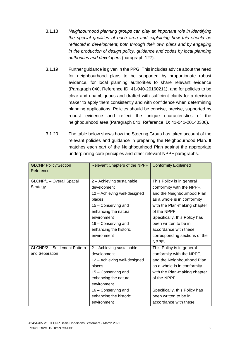- 3.1.18 *Neighbourhood planning groups can play an important role in identifying the special qualities of each area and explaining how this should be reflected in development, both through their own plans and by engaging in the production of design policy, guidance and codes by local planning authorities and developers* (paragraph 127).
- 3.1.19 Further guidance is given in the PPG. This includes advice about the need for neighbourhood plans to be supported by proportionate robust evidence, for local planning authorities to share relevant evidence (Paragraph 040, Reference ID: 41-040-20160211), and for policies to be clear and unambiguous and drafted with sufficient clarity for a decision maker to apply them consistently and with confidence when determining planning applications. Policies should be concise, precise, supported by robust evidence and reflect the unique characteristics of the neighbourhood area (Paragraph 041, Reference ID: 41-041-20140306).
- 3.1.20 The table below shows how the Steering Group has taken account of the relevant policies and guidance in preparing the Neighbourhood Plan. It matches each part of the Neighbourhood Plan against the appropriate underpinning core principles and other relevant NPPF paragraphs.

| <b>GLCNP Policy/Section</b><br>Reference | <b>Relevant Chapters of the NPPF</b> | <b>Conformity Explained</b>   |
|------------------------------------------|--------------------------------------|-------------------------------|
| GLCNP/1 - Overall Spatial                | 2 - Achieving sustainable            | This Policy is in general     |
| Strategy                                 | development                          | conformity with the NPPF,     |
|                                          | 12 - Achieving well-designed         | and the Neighbourhood Plan    |
|                                          | places                               | as a whole is in conformity   |
|                                          | 15 - Conserving and                  | with the Plan-making chapter  |
|                                          | enhancing the natural                | of the NPPF.                  |
|                                          | environment                          | Specifically, this Policy has |
|                                          | 16 - Conserving and                  | been written to be in         |
|                                          | enhancing the historic               | accordance with these         |
|                                          | environment                          | corresponding sections of the |
|                                          |                                      | NPPF.                         |
| GLCNP/2 - Settlement Pattern             | 2 - Achieving sustainable            | This Policy is in general     |
| and Separation                           | development                          | conformity with the NPPF,     |
|                                          | 12 - Achieving well-designed         | and the Neighbourhood Plan    |
|                                          | places                               | as a whole is in conformity   |
|                                          | 15 - Conserving and                  | with the Plan-making chapter  |
|                                          | enhancing the natural                | of the NPPF.                  |
|                                          | environment                          |                               |
|                                          | 16 - Conserving and                  | Specifically, this Policy has |
|                                          | enhancing the historic               | been written to be in         |
|                                          | environment                          | accordance with these         |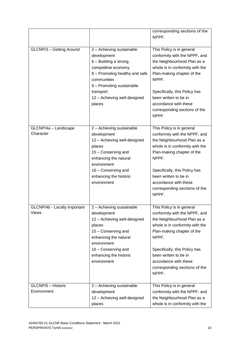|                                       |                                                                                                                                                                                                                                | corresponding sections of the<br>NPPF.                                                                                                                                                                                                                                                           |
|---------------------------------------|--------------------------------------------------------------------------------------------------------------------------------------------------------------------------------------------------------------------------------|--------------------------------------------------------------------------------------------------------------------------------------------------------------------------------------------------------------------------------------------------------------------------------------------------|
| GLCNP/3 - Getting Around              | 2 - Achieving sustainable<br>development<br>6 - Building a strong,<br>competitive economy<br>8 - Promoting healthy and safe<br>communities<br>9 - Promoting sustainable<br>transport<br>12 - Achieving well-designed<br>places | This Policy is in general<br>conformity with the NPPF, and<br>the Neighbourhood Plan as a<br>whole is in conformity with the<br>Plan-making chapter of the<br>NPPF.<br>Specifically, this Policy has<br>been written to be in<br>accordance with these<br>corresponding sections of the<br>NPPF. |
| GLCNP/4a - Landscape<br>Character     | 2 - Achieving sustainable<br>development<br>12 - Achieving well-designed<br>places<br>15 - Conserving and<br>enhancing the natural<br>environment<br>16 - Conserving and<br>enhancing the historic<br>environment              | This Policy is in general<br>conformity with the NPPF, and<br>the Neighbourhood Plan as a<br>whole is in conformity with the<br>Plan-making chapter of the<br>NPPF.<br>Specifically, this Policy has<br>been written to be in<br>accordance with these<br>corresponding sections of the<br>NPPF. |
| GLCNP/4b - Locally Important<br>Views | 2 - Achieving sustainable<br>development<br>12 - Achieving well-designed<br>places<br>15 - Conserving and<br>enhancing the natural<br>environment<br>16 - Conserving and<br>enhancing the historic<br>environment              | This Policy is in general<br>conformity with the NPPF, and<br>the Neighbourhood Plan as a<br>whole is in conformity with the<br>Plan-making chapter of the<br>NPPF.<br>Specifically, this Policy has<br>been written to be in<br>accordance with these<br>corresponding sections of the<br>NPPF. |
| GLCNP/5 - Historic<br>Environment     | 2 - Achieving sustainable<br>development<br>12 - Achieving well-designed<br>places                                                                                                                                             | This Policy is in general<br>conformity with the NPPF, and<br>the Neighbourhood Plan as a<br>whole is in conformity with the                                                                                                                                                                     |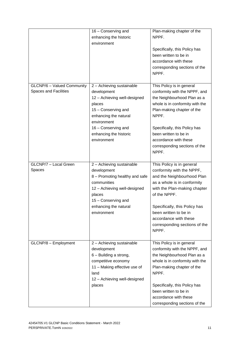|                                                                   | 16 - Conserving and<br>enhancing the historic<br>environment                                                                                                                                                      | Plan-making chapter of the<br>NPPF.<br>Specifically, this Policy has<br>been written to be in<br>accordance with these<br>corresponding sections of the<br>NPPF.                                                                                                                                 |
|-------------------------------------------------------------------|-------------------------------------------------------------------------------------------------------------------------------------------------------------------------------------------------------------------|--------------------------------------------------------------------------------------------------------------------------------------------------------------------------------------------------------------------------------------------------------------------------------------------------|
| <b>GLCNP/6 - Valued Community</b><br><b>Spaces and Facilities</b> | 2 - Achieving sustainable<br>development<br>12 - Achieving well-designed<br>places<br>15 - Conserving and<br>enhancing the natural<br>environment<br>16 - Conserving and<br>enhancing the historic<br>environment | This Policy is in general<br>conformity with the NPPF, and<br>the Neighbourhood Plan as a<br>whole is in conformity with the<br>Plan-making chapter of the<br>NPPF.<br>Specifically, this Policy has<br>been written to be in<br>accordance with these<br>corresponding sections of the<br>NPPF. |
| GLCNP/7 - Local Green<br>Spaces                                   | 2 - Achieving sustainable<br>development<br>8 - Promoting healthy and safe<br>communities<br>12 - Achieving well-designed<br>places<br>15 - Conserving and<br>enhancing the natural<br>environment                | This Policy is in general<br>conformity with the NPPF,<br>and the Neighbourhood Plan<br>as a whole is in conformity<br>with the Plan-making chapter<br>of the NPPF.<br>Specifically, this Policy has<br>been written to be in<br>accordance with these<br>corresponding sections of the<br>NPPF. |
| GLCNP/8 - Employment                                              | 2 - Achieving sustainable<br>development<br>6 - Building a strong,<br>competitive economy<br>11 - Making effective use of<br>land<br>12 - Achieving well-designed<br>places                                       | This Policy is in general<br>conformity with the NPPF, and<br>the Neighbourhood Plan as a<br>whole is in conformity with the<br>Plan-making chapter of the<br>NPPF.<br>Specifically, this Policy has<br>been written to be in<br>accordance with these<br>corresponding sections of the          |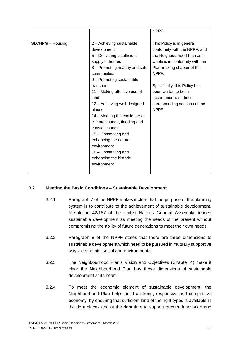|                   |                                | NPPF.                           |
|-------------------|--------------------------------|---------------------------------|
|                   |                                |                                 |
| GLCNP/9 - Housing | 2 - Achieving sustainable      | This Policy is in general       |
|                   | development                    | conformity with the NPPF, and   |
|                   | 5 - Delivering a sufficient    | the Neighbourhood Plan as a     |
|                   | supply of homes                | whole is in conformity with the |
|                   | 8 - Promoting healthy and safe | Plan-making chapter of the      |
|                   | communities                    | NPPF.                           |
|                   | 9 - Promoting sustainable      |                                 |
|                   | transport                      | Specifically, this Policy has   |
|                   | 11 - Making effective use of   | been written to be in           |
|                   | land                           | accordance with these           |
|                   | 12 - Achieving well-designed   | corresponding sections of the   |
|                   | places                         | NPPF.                           |
|                   | 14 – Meeting the challenge of  |                                 |
|                   | climate change, flooding and   |                                 |
|                   | coastal change                 |                                 |
|                   | 15 - Conserving and            |                                 |
|                   | enhancing the natural          |                                 |
|                   | environment                    |                                 |
|                   | 16 - Conserving and            |                                 |
|                   | enhancing the historic         |                                 |
|                   | environment                    |                                 |
|                   |                                |                                 |

## 3.2 **Meeting the Basic Conditions – Sustainable Development**

- 3.2.1 Paragraph 7 of the NPPF makes it clear that the purpose of the planning system is to contribute to the achievement of sustainable development. Resolution 42/187 of the United Nations General Assembly defined sustainable development as meeting the needs of the present without compromising the ability of future generations to meet their own needs.
- 3.2.2 Paragraph 8 of the NPPF states that there are three dimensions to sustainable development which need to be pursued in mutually supportive ways: economic, social and environmental.
- 3.2.3 The Neighbourhood Plan's Vision and Objectives (Chapter 4) make it clear the Neighbourhood Plan has these dimensions of sustainable development at its heart.
- 3.2.4 To meet the economic element of sustainable development, the Neighbourhood Plan helps build a strong, responsive and competitive economy, by ensuring that sufficient land of the right types is available in the right places and at the right time to support growth, innovation and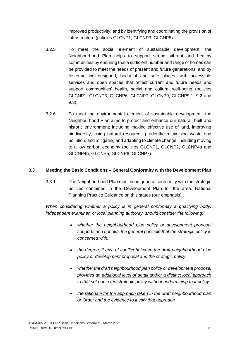improved productivity; and by identifying and coordinating the provision of infrastructure (policies GLCNP1, GLCNP3, GLCNP8).

- 3.2.5 To meet the social element of sustainable development, the Neighbourhood Plan helps to support strong, vibrant and healthy communities by ensuring that a sufficient number and range of homes can be provided to meet the needs of present and future generations; and by fostering well-designed, beautiful and safe places, with accessible services and open spaces that reflect current and future needs and support communities' health, social and cultural well-being (policies GLCNP1, GLCNP3, GLCNP6, GLCNP7, GLCNP9, GLCNP9.1, 9.2 and 9.3).
- 3.2.6 To meet the environmental element of sustainable development, the Neighbourhood Plan aims to protect and enhance our natural, built and historic environment; including making effective use of land, improving biodiversity, using natural resources prudently, minimising waste and pollution, and mitigating and adapting to climate change, including moving to a low carbon economy (policies GLCNP1, GLCNP2, GLCNP4a and GLCNP4b, GLCNP5, GLCNP6, GLCNP7).

## 3.3 **Meeting the Basic Conditions – General Conformity with the Development Plan**

3.3.1 The Neighbourhood Plan must be in general conformity with the strategic policies contained in the Development Plan for the area. National Planning Practice Guidance on this states (our emphasis):

*When considering whether a policy is in general conformity a qualifying body, independent examiner, or local planning authority, should consider the following:*

- *whether the neighbourhood plan policy or development proposal supports and upholds the general principle that the strategic policy is concerned with.*
- *the degree, if any, of conflict between the draft neighbourhood plan policy or development proposal and the strategic policy.*
- *whether the draft neighbourhood plan policy or development proposal provides an additional level of detail and/or a distinct local approach to that set out in the strategic policy without undermining that policy.*
- *the rationale for the approach taken in the draft neighbourhood plan or Order and the evidence to justify that approach.*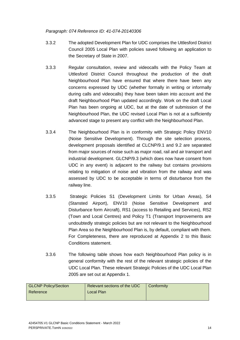#### *Paragraph: 074 Reference ID: 41-074-20140306*

- 3.3.2 The adopted Development Plan for UDC comprises the Uttlesford District Council 2005 Local Plan with policies saved following an application to the Secretary of State in 2007.
- 3.3.3 Regular consultation, review and videocalls with the Policy Team at Uttlesford District Council throughout the production of the draft Neighbourhood Plan have ensured that where there have been any concerns expressed by UDC (whether formally in writing or informally during calls and videocalls) they have been taken into account and the draft Neighbourhood Plan updated accordingly. Work on the draft Local Plan has been ongoing at UDC, but at the date of submission of the Neighbourhood Plan, the UDC revised Local Plan is not at a sufficiently advanced stage to present any conflict with the Neighbourhood Plan.
- 3.3.4 The Neighbourhood Plan is in conformity with Strategic Policy ENV10 (Noise Sensitive Development). Through the site selection process, development proposals identified at CLCNP/9.1 and 9.2 are separated from major sources of noise such as major road, rail and air transport and industrial development. GLCNP/9.3 (which does now have consent from UDC in any event) is adjacent to the railway but contains provisions relating to mitigation of noise and vibration from the railway and was assessed by UDC to be acceptable in terms of disturbance from the railway line.
- 3.3.5 Strategic Policies S1 (Development Limits for Urban Areas), S4 (Stansted Airport), ENV10 (Noise Sensitive Development and Disturbance form Aircraft), RS1 (access to Retailing and Services), RS2 (Town and Local Centres) and Policy T1 (Transport Improvements are undoubtedly strategic policies but are not relevant to the Neighbourhood Plan Area so the Neighbourhood Plan is, by default, compliant with them. For Completeness, there are reproduced at Appendix 2 to this Basic Conditions statement.
- 3.3.6 The following table shows how each Neighbourhood Plan policy is in general conformity with the rest of the relevant strategic policies of the UDC Local Plan. These relevant Strategic Policies of the UDC Local Plan 2005 are set out at Appendix 1.

| <b>GLCNP Policy/Section</b> | Relevant sections of the UDC | Conformity |
|-----------------------------|------------------------------|------------|
| Reference                   | Local Plan                   |            |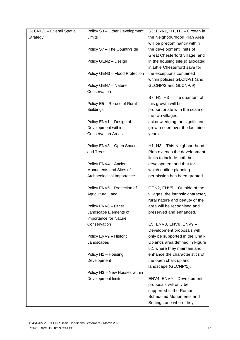| GLCNP/1 - Overall Spatial | Policy S3 - Other Development  | S3, ENV1, H1, H3 - Growth in       |
|---------------------------|--------------------------------|------------------------------------|
| Strategy                  | Limits                         | the Neighbourhood Plan Area        |
|                           |                                | will be predominantly within       |
|                           | Policy S7 - The Countryside    | the development limits of          |
|                           |                                | Great Chesterford village, and     |
|                           | Policy GEN2 - Design           | in the housing site(s) allocated   |
|                           |                                | in Little Chesterford save for     |
|                           | Policy GEN3 - Flood Protection | the exceptions contained           |
|                           |                                | within policies GLCNP/1 (and       |
|                           | Policy GEN7 - Nature           | GLCNP/2 and GLCNP/9).              |
|                           | Conservation                   |                                    |
|                           |                                | $S7, H1, H3 - The quantum of$      |
|                           | Policy E5 - Re-use of Rural    | this growth will be                |
|                           | <b>Buildings</b>               | proportionate with the scale of    |
|                           |                                | the two villages,                  |
|                           | Policy ENV1 - Design of        | acknowledging the significant      |
|                           | Development within             | growth seen over the last nine     |
|                           | <b>Conservation Areas</b>      | years,.                            |
|                           |                                |                                    |
|                           | Policy ENV3 - Open Spaces      | H1, H3 - This Neighbourhood        |
|                           | and Trees                      | Plan extends the development       |
|                           |                                | limits to include both built       |
|                           | Policy ENV4 - Ancient          | development and that for           |
|                           | Monuments and Sites of         | which outline planning             |
|                           | Archaeological Importance      | permission has been granted.       |
|                           |                                |                                    |
|                           | Policy ENV5 - Protection of    | GEN2, ENV5 - Outside of the        |
|                           | Agricultural Land              | villages, the intrinsic character, |
|                           |                                | rural nature and beauty of the     |
|                           | Policy ENV8 - Other            | area will be recognised and        |
|                           | Landscape Elements of          | preserved and enhanced.            |
|                           | <b>Importance for Nature</b>   |                                    |
|                           | Conservation                   | E5, ENV3, ENV8, ENV9 -             |
|                           |                                | Development proposals will         |
|                           | Policy ENV9 - Historic         | only be supported in the Chalk     |
|                           | Landscapes                     | Uplands area defined in Figure     |
|                           |                                | 5.1 where they maintain and        |
|                           | Policy H1 - Housing            | enhance the characteristics of     |
|                           | Development                    | the open chalk upland              |
|                           |                                | landscape (GLCNP/1).               |
|                           | Policy H3 - New Houses within  |                                    |
|                           | Development limits             | ENV4, ENV9 - Development           |
|                           |                                | proposals will only be             |
|                           |                                | supported in the Roman             |
|                           |                                | Scheduled Monuments and            |
|                           |                                |                                    |
|                           |                                | Setting zone where they            |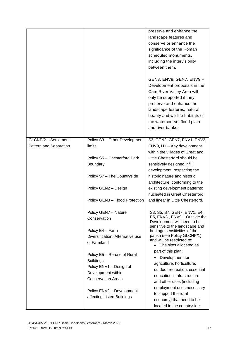|                        |                                                 | preserve and enhance the<br>landscape features and<br>conserve or enhance the<br>significance of the Roman<br>scheduled monuments,<br>including the intervisibility<br>between them.<br>GEN3, ENV8, GEN7, ENV9 -<br>Development proposals in the<br>Cam River Valley Area will<br>only be supported if they<br>preserve and enhance the<br>landscape features, natural<br>beauty and wildlife habitats of<br>the watercourse, flood plain<br>and river banks. |
|------------------------|-------------------------------------------------|---------------------------------------------------------------------------------------------------------------------------------------------------------------------------------------------------------------------------------------------------------------------------------------------------------------------------------------------------------------------------------------------------------------------------------------------------------------|
| GLCNP/2 - Settlement   | Policy S3 - Other Development                   | S3, GEN2, GEN7, ENV1, ENV2,                                                                                                                                                                                                                                                                                                                                                                                                                                   |
| Pattern and Separation | limits                                          | ENV9, H1 - Any development<br>within the villages of Great and                                                                                                                                                                                                                                                                                                                                                                                                |
|                        | Policy S5 - Chesterford Park                    | Little Chesterford should be                                                                                                                                                                                                                                                                                                                                                                                                                                  |
|                        | Boundary                                        | sensitively designed infill                                                                                                                                                                                                                                                                                                                                                                                                                                   |
|                        | Policy S7 - The Countryside                     | development, respecting the<br>historic nature and historic                                                                                                                                                                                                                                                                                                                                                                                                   |
|                        |                                                 | architecture, conforming to the                                                                                                                                                                                                                                                                                                                                                                                                                               |
|                        | Policy GEN2 - Design                            | existing development patterns:<br>nucleated in Great Chesterford                                                                                                                                                                                                                                                                                                                                                                                              |
|                        | Policy GEN3 - Flood Protection                  | and linear in Little Chesterford.                                                                                                                                                                                                                                                                                                                                                                                                                             |
|                        | Policy GEN7 - Nature                            | S3, S5, S7, GEN7, ENV1, E4,                                                                                                                                                                                                                                                                                                                                                                                                                                   |
|                        | Conservation                                    | E5, ENV3, ENV9 - Outside the<br>Development will need to be                                                                                                                                                                                                                                                                                                                                                                                                   |
|                        | Policy E4 - Farm                                | sensitive to the landscape and<br>heritage sensitivities of the                                                                                                                                                                                                                                                                                                                                                                                               |
|                        | Diversification: Alternative use                | parish (see Policy GLCNP/1)<br>and will be restricted to:                                                                                                                                                                                                                                                                                                                                                                                                     |
|                        | of Farmland                                     | • The sites allocated as                                                                                                                                                                                                                                                                                                                                                                                                                                      |
|                        | Policy E5 - Re-use of Rural                     | part of this plan;<br>Development for                                                                                                                                                                                                                                                                                                                                                                                                                         |
|                        | <b>Buildings</b>                                | agriculture, horticulture,                                                                                                                                                                                                                                                                                                                                                                                                                                    |
|                        | Policy ENV1 - Design of                         | outdoor recreation, essential                                                                                                                                                                                                                                                                                                                                                                                                                                 |
|                        | Development within<br><b>Conservation Areas</b> | educational infrastructure                                                                                                                                                                                                                                                                                                                                                                                                                                    |
|                        |                                                 | and other uses (including                                                                                                                                                                                                                                                                                                                                                                                                                                     |
|                        | Policy ENV2 - Development                       | employment uses necessary<br>to support the rural                                                                                                                                                                                                                                                                                                                                                                                                             |
|                        | affecting Listed Buildings                      | economy) that need to be                                                                                                                                                                                                                                                                                                                                                                                                                                      |
|                        |                                                 | located in the countryside;                                                                                                                                                                                                                                                                                                                                                                                                                                   |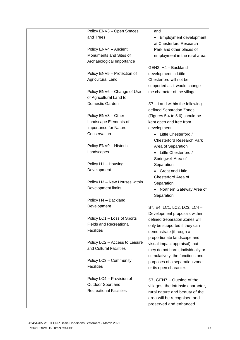| Policy ENV3 - Open Spaces      | and                                                   |
|--------------------------------|-------------------------------------------------------|
| and Trees                      | Employment development<br>$\bullet$                   |
|                                | at Chesterford Research                               |
| Policy ENV4 - Ancient          | Park and other places of                              |
| Monuments and Sites of         | employment in the rural area.                         |
| Archaeological Importance      |                                                       |
|                                | GEN2, H4 - Backland                                   |
| Policy ENV5 - Protection of    | development in Little                                 |
| <b>Agricultural Land</b>       | Chesterford will not be                               |
|                                | supported as it would change                          |
| Policy ENV6 - Change of Use    | the character of the village.                         |
| of Agricultural Land to        |                                                       |
| Domestic Garden                | S7 - Land within the following                        |
|                                | defined Separation Zones                              |
| Policy ENV8 - Other            | (Figures 5.4 to 5.6) should be                        |
| Landscape Elements of          | kept open and free from                               |
| Importance for Nature          | development:                                          |
| Conservation                   | Little Chesterford /                                  |
|                                | <b>Chesterford Research Park</b>                      |
| Policy ENV9 - Historic         | Area of Separation                                    |
| Landscapes                     | Little Chesterford /                                  |
|                                | Springwell Area of                                    |
| Policy H1 - Housing            | Separation                                            |
| Development                    | • Great and Little                                    |
|                                | Chesterford Area of                                   |
| Policy H3 - New Houses within  | Separation                                            |
| Development limits             | Northern Gateway Area of                              |
|                                | Separation                                            |
| Policy H4 - Backland           |                                                       |
| Development                    | S7, E4, LC1, LC2, LC3, LC4                            |
|                                | Development proposals within                          |
| Policy LC1 - Loss of Sports    | defined Separation Zones will                         |
| <b>Fields and Recreational</b> | only be supported if they can                         |
| <b>Facilities</b>              |                                                       |
|                                | demonstrate (through a<br>proportionate landscape and |
| Policy LC2 - Access to Leisure |                                                       |
| and Cultural Facilities        | visual impact appraisal) that                         |
|                                | they do not harm, individually or                     |
| Policy LC3 - Community         | cumulatively, the functions and                       |
| <b>Facilities</b>              | purposes of a separation zone,                        |
|                                | or its open character.                                |
| Policy LC4 - Provision of      |                                                       |
| Outdoor Sport and              | S7, GEN7 - Outside of the                             |
| <b>Recreational Facilities</b> | villages, the intrinsic character,                    |
|                                | rural nature and beauty of the                        |
|                                | area will be recognised and                           |
|                                | preserved and enhanced.                               |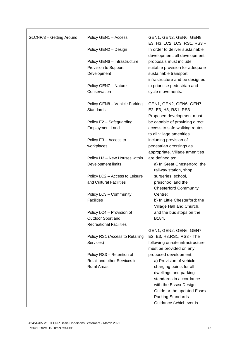| GLCNP/3 - Getting Around | Policy GEN1 - Access            | GEN1, GEN2, GEN6, GEN8,<br>E3, H3, LC2, LC3, RS1, RS3-          |
|--------------------------|---------------------------------|-----------------------------------------------------------------|
|                          | Policy GEN2 - Design            | In order to deliver sustainable<br>development, all development |
|                          | Policy GEN6 - Infrastructure    | proposals must include                                          |
|                          | Provision to Support            | suitable provision for adequate                                 |
|                          | Development                     | sustainable transport                                           |
|                          |                                 | infrastructure and be designed                                  |
|                          | Policy GEN7 - Nature            | to prioritise pedestrian and                                    |
|                          | Conservation                    | cycle movements.                                                |
|                          |                                 |                                                                 |
|                          | Policy GEN8 - Vehicle Parking   | GEN1, GEN2, GEN6, GEN7,                                         |
|                          | <b>Standards</b>                | E2, E3, H3, RS1, RS3-                                           |
|                          |                                 | Proposed development must                                       |
|                          | Policy E2 - Safeguarding        | be capable of providing direct                                  |
|                          | <b>Employment Land</b>          | access to safe walking routes                                   |
|                          |                                 | to all village amenities                                        |
|                          | Policy E3 - Access to           | including provision of                                          |
|                          | workplaces                      | pedestrian crossings as                                         |
|                          |                                 | appropriate. Village amenities                                  |
|                          | Policy H3 - New Houses within   | are defined as:                                                 |
|                          | Development limits              | a) In Great Chesterford: the                                    |
|                          |                                 | railway station, shop,                                          |
|                          | Policy LC2 - Access to Leisure  | surgeries, school,                                              |
|                          | and Cultural Facilities         | preschool and the                                               |
|                          |                                 | <b>Chesterford Community</b>                                    |
|                          | Policy LC3 - Community          | Centre;                                                         |
|                          | <b>Facilities</b>               | b) In Little Chesterford: the                                   |
|                          |                                 | Village Hall and Church,                                        |
|                          | Policy LC4 - Provision of       | and the bus stops on the                                        |
|                          | Outdoor Sport and               | B184.                                                           |
|                          | <b>Recreational Facilities</b>  |                                                                 |
|                          |                                 | GEN1, GEN2, GEN6, GEN7,                                         |
|                          | Policy RS1 (Access to Retailing | E2, E3, H3, RS1, RS3 - The                                      |
|                          | Services)                       | following on-site infrastructure                                |
|                          |                                 | must be provided on any                                         |
|                          | Policy RS3 - Retention of       | proposed development:                                           |
|                          | Retail and other Services in    | a) Provision of vehicle                                         |
|                          | <b>Rural Areas</b>              | charging points for all                                         |
|                          |                                 | dwellings and parking                                           |
|                          |                                 | standards in accordance                                         |
|                          |                                 | with the Essex Design                                           |
|                          |                                 | Guide or the updated Essex                                      |
|                          |                                 | Parking Standards                                               |
|                          |                                 | Guidance (whichever is                                          |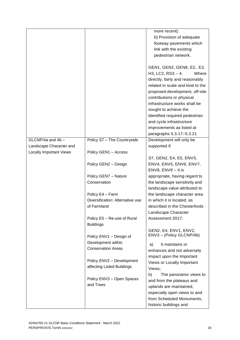|                                |                                  | more recent).                                     |
|--------------------------------|----------------------------------|---------------------------------------------------|
|                                |                                  | b) Provision of adequate                          |
|                                |                                  | footway pavements which                           |
|                                |                                  | link with the existing                            |
|                                |                                  | pedestrian network.                               |
|                                |                                  |                                                   |
|                                |                                  | GEN1, GEN2, GEN8, E2,. E3,                        |
|                                |                                  | H3, LC2, RS3 - 4.<br>Where                        |
|                                |                                  | directly, fairly and reasonably                   |
|                                |                                  | related in scale and kind to the                  |
|                                |                                  | proposed development, off-site                    |
|                                |                                  | contributions or physical                         |
|                                |                                  | infrastructure works shall be                     |
|                                |                                  | sought to achieve the                             |
|                                |                                  | identified required pedestrian                    |
|                                |                                  | and cycle infrastructure                          |
|                                |                                  | improvements as listed at                         |
|                                |                                  | paragraphs 5.3.17-5.3.21                          |
| GLCNP/4a and 4b -              | Policy S7 - The Countryside      | Development will only be                          |
| Landscape Character and        |                                  | supported if:                                     |
| <b>Locally Important Views</b> | Policy GEN1 - Access             |                                                   |
|                                |                                  | S7, GEN2, E4, E5, ENV3,                           |
|                                | Policy GEN2 - Design             | ENV4, ENV5, ENV6, ENV7,                           |
|                                |                                  | ENV8, ENV9 - It is                                |
|                                | Policy GEN7 - Nature             | appropriate, having regard to                     |
|                                | Conservation                     | the landscape sensitivity and                     |
|                                |                                  | landscape value attributed to                     |
|                                | Policy E4 - Farm                 | the landscape character area                      |
|                                | Diversification: Alternative use | in which it is located, as                        |
|                                | of Farmland                      | described in the Chesterfords                     |
|                                |                                  | Landscape Character                               |
|                                | Policy E5 - Re-use of Rural      | Assessment 2017;                                  |
|                                | <b>Buildings</b>                 |                                                   |
|                                |                                  | GEN2, E4, ENV1, ENV2,<br>ENV3 - (Policy GLCNP/4b) |
|                                | Policy ENV1 - Design of          |                                                   |
|                                | Development within               | It maintains or<br>a)                             |
|                                | <b>Conservation Areas</b>        | enhances and not adversely                        |
|                                |                                  | impact upon the Important                         |
|                                | Policy ENV2 - Development        | Views or Locally Important                        |
|                                | affecting Listed Buildings       | Views;                                            |
|                                |                                  | b)<br>The panoramic views to                      |
|                                | Policy ENV3 - Open Spaces        | and from the plateaus and                         |
|                                | and Trees                        | uplands are maintained,                           |
|                                |                                  | especially open views to and                      |
|                                |                                  | from Scheduled Monuments,                         |
|                                |                                  | historic buildings and                            |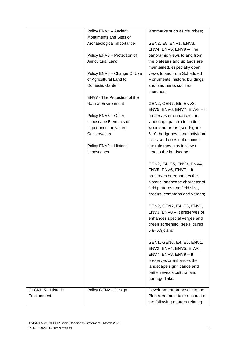|                    | Policy ENV4 - Ancient        | landmarks such as churches;     |
|--------------------|------------------------------|---------------------------------|
|                    | Monuments and Sites of       |                                 |
|                    | Archaeological Importance    | GEN2, E5, ENV1, ENV3,           |
|                    |                              | ENV4, ENV5, ENV9 - The          |
|                    | Policy ENV5 - Protection of  | panoramic views to and from     |
|                    |                              |                                 |
|                    | Agricultural Land            | the plateaus and uplands are    |
|                    |                              | maintained, especially open     |
|                    | Policy ENV6 - Change Of Use  | views to and from Scheduled     |
|                    | of Agricultural Land to      | Monuments, historic buildings   |
|                    | Domestic Garden              | and landmarks such as           |
|                    |                              | churches;                       |
|                    | ENV7 - The Protection of the |                                 |
|                    | <b>Natural Environment</b>   | GEN2, GEN7, E5, ENV3,           |
|                    |                              | ENV5, ENV6, ENV7, ENV8 - It     |
|                    | Policy ENV8 - Other          | preserves or enhances the       |
|                    | Landscape Elements of        | landscape pattern including     |
|                    | <b>Importance for Nature</b> | woodland areas (see Figure      |
|                    | Conservation                 | 5.10, hedgerows and individual  |
|                    |                              | trees, and does not diminish    |
|                    | Policy ENV9 - Historic       | the role they play in views     |
|                    |                              |                                 |
|                    | Landscapes                   | across the landscape;           |
|                    |                              |                                 |
|                    |                              | GEN2, E4, E5, ENV3, ENV4,       |
|                    |                              | ENV5, ENV6, ENV7 - It           |
|                    |                              | preserves or enhances the       |
|                    |                              | historic landscape character of |
|                    |                              | field patterns and field size,  |
|                    |                              | greens, commons and verges;     |
|                    |                              |                                 |
|                    |                              | GEN2, GEN7, E4, E5, ENV1,       |
|                    |                              | ENV3, ENV8 - It preserves or    |
|                    |                              | enhances special verges and     |
|                    |                              | green screening (see Figures    |
|                    |                              | $5.8 - 5.9$ ; and               |
|                    |                              |                                 |
|                    |                              | GEN1, GEN6, E4, E5, ENV1,       |
|                    |                              | ENV2, ENV4, ENV5, ENV6,         |
|                    |                              | ENV7, ENV8, ENV9 - It           |
|                    |                              |                                 |
|                    |                              | preserves or enhances the       |
|                    |                              | landscape significance and      |
|                    |                              | better reveals cultural and     |
|                    |                              | heritage links.                 |
| GLCNP/5 - Historic | Policy GEN2 - Design         | Development proposals in the    |
| Environment        |                              | Plan area must take account of  |
|                    |                              | the following matters relating  |
|                    |                              |                                 |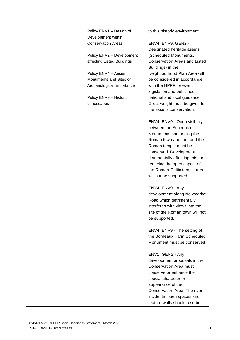| Policy ENV1 - Design of    | to this historic environment:        |
|----------------------------|--------------------------------------|
| Development within         |                                      |
| <b>Conservation Areas</b>  | ENV4, ENV9, GEN2 -                   |
|                            | Designated heritage assets           |
| Policy ENV2 - Development  | (Scheduled Monuments,                |
| affecting Listed Buildings | <b>Conservation Areas and Listed</b> |
|                            |                                      |
|                            | Buildings) in the                    |
| Policy ENV4 - Ancient      | Neighbourhood Plan Area will         |
| Monuments and Sites of     | be considered in accordance          |
| Archaeological Importance  | with the NPPF, relevant              |
|                            | legislation and published            |
| Policy ENV9 - Historic     | national and local guidance.         |
| Landscapes                 | Great weight must be given to        |
|                            | the asset's conservation.            |
|                            |                                      |
|                            | ENV4, ENV9 - Open visibility         |
|                            | between the Scheduled                |
|                            | Monuments comprising the             |
|                            | Roman town and fort, and the         |
|                            | Roman temple must be                 |
|                            | conserved. Development               |
|                            | detrimentally affecting this, or     |
|                            | reducing the open aspect of          |
|                            | the Roman-Celtic temple area         |
|                            | will not be supported.               |
|                            |                                      |
|                            | ENV4, ENV9 - Any                     |
|                            |                                      |
|                            | development along Newmarket          |
|                            | Road which detrimentally             |
|                            | interferes with views into the       |
|                            | site of the Roman town will not      |
|                            | be supported.                        |
|                            |                                      |
|                            | ENV4, ENV9 - The setting of          |
|                            | the Bordeaux Farm Scheduled          |
|                            | Monument must be conserved.          |
|                            |                                      |
|                            | ENV1, GEN2 - Any                     |
|                            | development proposals in the         |
|                            | <b>Conservation Area must</b>        |
|                            | conserve or enhance the              |
|                            | special character or                 |
|                            | appearance of the                    |
|                            | Conservation Area. The river,        |
|                            | incidental open spaces and           |
|                            | feature walls should also be         |
|                            |                                      |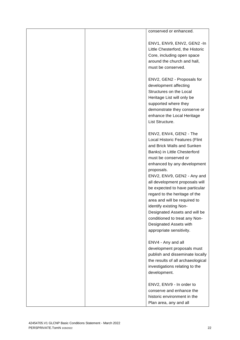|  | conserved or enhanced.                                                                                                                                                                                                                                                                                                                                                                                                                                                                                                  |
|--|-------------------------------------------------------------------------------------------------------------------------------------------------------------------------------------------------------------------------------------------------------------------------------------------------------------------------------------------------------------------------------------------------------------------------------------------------------------------------------------------------------------------------|
|  | ENV1, ENV9, ENV2, GEN2 -In<br>Little Chesterford, the Historic<br>Core, including open space<br>around the church and hall,<br>must be conserved.                                                                                                                                                                                                                                                                                                                                                                       |
|  | ENV2, GEN2 - Proposals for<br>development affecting<br>Structures on the Local<br>Heritage List will only be<br>supported where they<br>demonstrate they conserve or<br>enhance the Local Heritage<br>List Structure.                                                                                                                                                                                                                                                                                                   |
|  | ENV2, ENV4, GEN2 - The<br><b>Local Historic Features (Flint</b><br>and Brick Walls and Sunken<br>Banks) in Little Chesterford<br>must be conserved or<br>enhanced by any development<br>proposals.<br>ENV2, ENV9, GEN2 - Any and<br>all development proposals will<br>be expected to have particular<br>regard to the heritage of the<br>area and will be required to<br>identify existing Non-<br>Designated Assets and will be<br>conditioned to treat any Non-<br>Designated Assets with<br>appropriate sensitivity. |
|  | ENV4 - Any and all<br>development proposals must<br>publish and disseminate locally<br>the results of all archaeological<br>investigations relating to the<br>development.                                                                                                                                                                                                                                                                                                                                              |
|  | ENV2, ENV9 - In order to<br>conserve and enhance the<br>historic environment in the<br>Plan area, any and all                                                                                                                                                                                                                                                                                                                                                                                                           |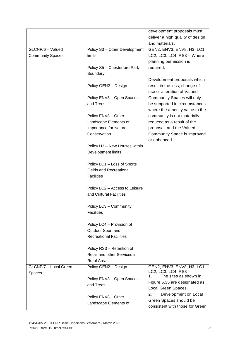| deliver a high quality of design<br>and materials.<br>GLCNP/6 - Valued<br>Policy S3 - Other Development<br>GEN2, ENV3, ENV8, H3, LC1,<br>LC2, LC3, LC4, RS3 - Where<br><b>Community Spaces</b><br>limits<br>planning permission is<br>Policy S5 - Chesterford Park<br>required:<br>Boundary<br>Development proposals which<br>result in the loss, change of<br>Policy GEN2 - Design<br>use or alteration of Valued<br>Policy ENV3 - Open Spaces<br>Community Spaces will only<br>and Trees<br>be supported in circumstances<br>where the amenity value to the<br>Policy ENV8 - Other<br>community is not materially<br>reduced as a result of the<br>Landscape Elements of<br><b>Importance for Nature</b><br>proposal, and the Valued<br>Conservation<br>Community Space is improved<br>or enhanced.<br>Policy H3 - New Houses within<br>Development limits<br>Policy LC1 - Loss of Sports<br><b>Fields and Recreational</b><br><b>Facilities</b><br>Policy LC2 - Access to Leisure<br>and Cultural Facilities<br>Policy LC3 - Community<br><b>Facilities</b><br>Policy LC4 - Provision of<br>Outdoor Sport and<br><b>Recreational Facilities</b><br>Policy RS3 - Retention of<br>Retail and other Services in<br><b>Rural Areas</b><br>GEN2, ENV3, ENV8, H3, LC1,<br>GLCNP/7 - Local Green<br>Policy GEN2 - Design<br>LC2, LC3, LC4, RS3-<br>Spaces<br>The sites as shown in<br>1. |                           | development proposals must |
|--------------------------------------------------------------------------------------------------------------------------------------------------------------------------------------------------------------------------------------------------------------------------------------------------------------------------------------------------------------------------------------------------------------------------------------------------------------------------------------------------------------------------------------------------------------------------------------------------------------------------------------------------------------------------------------------------------------------------------------------------------------------------------------------------------------------------------------------------------------------------------------------------------------------------------------------------------------------------------------------------------------------------------------------------------------------------------------------------------------------------------------------------------------------------------------------------------------------------------------------------------------------------------------------------------------------------------------------------------------------------------------|---------------------------|----------------------------|
|                                                                                                                                                                                                                                                                                                                                                                                                                                                                                                                                                                                                                                                                                                                                                                                                                                                                                                                                                                                                                                                                                                                                                                                                                                                                                                                                                                                      |                           |                            |
|                                                                                                                                                                                                                                                                                                                                                                                                                                                                                                                                                                                                                                                                                                                                                                                                                                                                                                                                                                                                                                                                                                                                                                                                                                                                                                                                                                                      |                           |                            |
|                                                                                                                                                                                                                                                                                                                                                                                                                                                                                                                                                                                                                                                                                                                                                                                                                                                                                                                                                                                                                                                                                                                                                                                                                                                                                                                                                                                      |                           |                            |
|                                                                                                                                                                                                                                                                                                                                                                                                                                                                                                                                                                                                                                                                                                                                                                                                                                                                                                                                                                                                                                                                                                                                                                                                                                                                                                                                                                                      |                           |                            |
|                                                                                                                                                                                                                                                                                                                                                                                                                                                                                                                                                                                                                                                                                                                                                                                                                                                                                                                                                                                                                                                                                                                                                                                                                                                                                                                                                                                      |                           |                            |
|                                                                                                                                                                                                                                                                                                                                                                                                                                                                                                                                                                                                                                                                                                                                                                                                                                                                                                                                                                                                                                                                                                                                                                                                                                                                                                                                                                                      |                           |                            |
|                                                                                                                                                                                                                                                                                                                                                                                                                                                                                                                                                                                                                                                                                                                                                                                                                                                                                                                                                                                                                                                                                                                                                                                                                                                                                                                                                                                      |                           |                            |
|                                                                                                                                                                                                                                                                                                                                                                                                                                                                                                                                                                                                                                                                                                                                                                                                                                                                                                                                                                                                                                                                                                                                                                                                                                                                                                                                                                                      |                           |                            |
|                                                                                                                                                                                                                                                                                                                                                                                                                                                                                                                                                                                                                                                                                                                                                                                                                                                                                                                                                                                                                                                                                                                                                                                                                                                                                                                                                                                      |                           |                            |
|                                                                                                                                                                                                                                                                                                                                                                                                                                                                                                                                                                                                                                                                                                                                                                                                                                                                                                                                                                                                                                                                                                                                                                                                                                                                                                                                                                                      |                           |                            |
|                                                                                                                                                                                                                                                                                                                                                                                                                                                                                                                                                                                                                                                                                                                                                                                                                                                                                                                                                                                                                                                                                                                                                                                                                                                                                                                                                                                      |                           |                            |
|                                                                                                                                                                                                                                                                                                                                                                                                                                                                                                                                                                                                                                                                                                                                                                                                                                                                                                                                                                                                                                                                                                                                                                                                                                                                                                                                                                                      |                           |                            |
|                                                                                                                                                                                                                                                                                                                                                                                                                                                                                                                                                                                                                                                                                                                                                                                                                                                                                                                                                                                                                                                                                                                                                                                                                                                                                                                                                                                      |                           |                            |
|                                                                                                                                                                                                                                                                                                                                                                                                                                                                                                                                                                                                                                                                                                                                                                                                                                                                                                                                                                                                                                                                                                                                                                                                                                                                                                                                                                                      |                           |                            |
|                                                                                                                                                                                                                                                                                                                                                                                                                                                                                                                                                                                                                                                                                                                                                                                                                                                                                                                                                                                                                                                                                                                                                                                                                                                                                                                                                                                      |                           |                            |
|                                                                                                                                                                                                                                                                                                                                                                                                                                                                                                                                                                                                                                                                                                                                                                                                                                                                                                                                                                                                                                                                                                                                                                                                                                                                                                                                                                                      |                           |                            |
|                                                                                                                                                                                                                                                                                                                                                                                                                                                                                                                                                                                                                                                                                                                                                                                                                                                                                                                                                                                                                                                                                                                                                                                                                                                                                                                                                                                      |                           |                            |
|                                                                                                                                                                                                                                                                                                                                                                                                                                                                                                                                                                                                                                                                                                                                                                                                                                                                                                                                                                                                                                                                                                                                                                                                                                                                                                                                                                                      |                           |                            |
|                                                                                                                                                                                                                                                                                                                                                                                                                                                                                                                                                                                                                                                                                                                                                                                                                                                                                                                                                                                                                                                                                                                                                                                                                                                                                                                                                                                      |                           |                            |
|                                                                                                                                                                                                                                                                                                                                                                                                                                                                                                                                                                                                                                                                                                                                                                                                                                                                                                                                                                                                                                                                                                                                                                                                                                                                                                                                                                                      |                           |                            |
|                                                                                                                                                                                                                                                                                                                                                                                                                                                                                                                                                                                                                                                                                                                                                                                                                                                                                                                                                                                                                                                                                                                                                                                                                                                                                                                                                                                      |                           |                            |
|                                                                                                                                                                                                                                                                                                                                                                                                                                                                                                                                                                                                                                                                                                                                                                                                                                                                                                                                                                                                                                                                                                                                                                                                                                                                                                                                                                                      |                           |                            |
|                                                                                                                                                                                                                                                                                                                                                                                                                                                                                                                                                                                                                                                                                                                                                                                                                                                                                                                                                                                                                                                                                                                                                                                                                                                                                                                                                                                      |                           |                            |
|                                                                                                                                                                                                                                                                                                                                                                                                                                                                                                                                                                                                                                                                                                                                                                                                                                                                                                                                                                                                                                                                                                                                                                                                                                                                                                                                                                                      |                           |                            |
|                                                                                                                                                                                                                                                                                                                                                                                                                                                                                                                                                                                                                                                                                                                                                                                                                                                                                                                                                                                                                                                                                                                                                                                                                                                                                                                                                                                      |                           |                            |
|                                                                                                                                                                                                                                                                                                                                                                                                                                                                                                                                                                                                                                                                                                                                                                                                                                                                                                                                                                                                                                                                                                                                                                                                                                                                                                                                                                                      |                           |                            |
|                                                                                                                                                                                                                                                                                                                                                                                                                                                                                                                                                                                                                                                                                                                                                                                                                                                                                                                                                                                                                                                                                                                                                                                                                                                                                                                                                                                      |                           |                            |
|                                                                                                                                                                                                                                                                                                                                                                                                                                                                                                                                                                                                                                                                                                                                                                                                                                                                                                                                                                                                                                                                                                                                                                                                                                                                                                                                                                                      |                           |                            |
|                                                                                                                                                                                                                                                                                                                                                                                                                                                                                                                                                                                                                                                                                                                                                                                                                                                                                                                                                                                                                                                                                                                                                                                                                                                                                                                                                                                      |                           |                            |
|                                                                                                                                                                                                                                                                                                                                                                                                                                                                                                                                                                                                                                                                                                                                                                                                                                                                                                                                                                                                                                                                                                                                                                                                                                                                                                                                                                                      |                           |                            |
|                                                                                                                                                                                                                                                                                                                                                                                                                                                                                                                                                                                                                                                                                                                                                                                                                                                                                                                                                                                                                                                                                                                                                                                                                                                                                                                                                                                      |                           |                            |
|                                                                                                                                                                                                                                                                                                                                                                                                                                                                                                                                                                                                                                                                                                                                                                                                                                                                                                                                                                                                                                                                                                                                                                                                                                                                                                                                                                                      |                           |                            |
|                                                                                                                                                                                                                                                                                                                                                                                                                                                                                                                                                                                                                                                                                                                                                                                                                                                                                                                                                                                                                                                                                                                                                                                                                                                                                                                                                                                      |                           |                            |
|                                                                                                                                                                                                                                                                                                                                                                                                                                                                                                                                                                                                                                                                                                                                                                                                                                                                                                                                                                                                                                                                                                                                                                                                                                                                                                                                                                                      |                           |                            |
|                                                                                                                                                                                                                                                                                                                                                                                                                                                                                                                                                                                                                                                                                                                                                                                                                                                                                                                                                                                                                                                                                                                                                                                                                                                                                                                                                                                      |                           |                            |
|                                                                                                                                                                                                                                                                                                                                                                                                                                                                                                                                                                                                                                                                                                                                                                                                                                                                                                                                                                                                                                                                                                                                                                                                                                                                                                                                                                                      |                           |                            |
|                                                                                                                                                                                                                                                                                                                                                                                                                                                                                                                                                                                                                                                                                                                                                                                                                                                                                                                                                                                                                                                                                                                                                                                                                                                                                                                                                                                      |                           |                            |
|                                                                                                                                                                                                                                                                                                                                                                                                                                                                                                                                                                                                                                                                                                                                                                                                                                                                                                                                                                                                                                                                                                                                                                                                                                                                                                                                                                                      |                           |                            |
|                                                                                                                                                                                                                                                                                                                                                                                                                                                                                                                                                                                                                                                                                                                                                                                                                                                                                                                                                                                                                                                                                                                                                                                                                                                                                                                                                                                      |                           |                            |
| Figure 5.35 are designated as                                                                                                                                                                                                                                                                                                                                                                                                                                                                                                                                                                                                                                                                                                                                                                                                                                                                                                                                                                                                                                                                                                                                                                                                                                                                                                                                                        | Policy ENV3 - Open Spaces |                            |
| and Trees<br>Local Green Spaces.                                                                                                                                                                                                                                                                                                                                                                                                                                                                                                                                                                                                                                                                                                                                                                                                                                                                                                                                                                                                                                                                                                                                                                                                                                                                                                                                                     |                           |                            |
| 2.<br>Development on Local                                                                                                                                                                                                                                                                                                                                                                                                                                                                                                                                                                                                                                                                                                                                                                                                                                                                                                                                                                                                                                                                                                                                                                                                                                                                                                                                                           |                           |                            |
| Policy ENV8 - Other<br>Green Spaces should be                                                                                                                                                                                                                                                                                                                                                                                                                                                                                                                                                                                                                                                                                                                                                                                                                                                                                                                                                                                                                                                                                                                                                                                                                                                                                                                                        |                           |                            |
| Landscape Elements of<br>consistent with those for Green                                                                                                                                                                                                                                                                                                                                                                                                                                                                                                                                                                                                                                                                                                                                                                                                                                                                                                                                                                                                                                                                                                                                                                                                                                                                                                                             |                           |                            |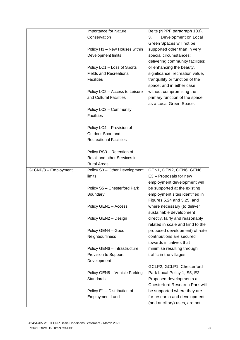|                      | <b>Importance for Nature</b>   | Belts (NPPF paragraph 103).                                   |
|----------------------|--------------------------------|---------------------------------------------------------------|
|                      | Conservation                   | Development on Local<br>3.                                    |
|                      |                                | Green Spaces will not be                                      |
|                      | Policy H3 - New Houses within  | supported other than in very                                  |
|                      | Development limits             | special circumstances:                                        |
|                      |                                | delivering community facilities;                              |
|                      | Policy LC1 - Loss of Sports    | or enhancing the beauty,                                      |
|                      | <b>Fields and Recreational</b> | significance, recreation value,                               |
|                      |                                |                                                               |
|                      | <b>Facilities</b>              | tranquillity or function of the                               |
|                      |                                | space; and in either case                                     |
|                      | Policy LC2 - Access to Leisure | without compromising the                                      |
|                      | and Cultural Facilities        | primary function of the space                                 |
|                      |                                | as a Local Green Space.                                       |
|                      | Policy LC3 - Community         |                                                               |
|                      | <b>Facilities</b>              |                                                               |
|                      |                                |                                                               |
|                      |                                |                                                               |
|                      | Policy LC4 - Provision of      |                                                               |
|                      | Outdoor Sport and              |                                                               |
|                      | <b>Recreational Facilities</b> |                                                               |
|                      |                                |                                                               |
|                      | Policy RS3 - Retention of      |                                                               |
|                      | Retail and other Services in   |                                                               |
|                      | <b>Rural Areas</b>             |                                                               |
| GLCNP/8 - Employment | Policy S3 - Other Development  | GEN1, GEN2, GEN6, GEN8,                                       |
|                      |                                |                                                               |
|                      |                                |                                                               |
|                      | limits                         | E3 - Proposals for new                                        |
|                      |                                | employment development will                                   |
|                      | Policy S5 - Chesterford Park   | be supported at the existing                                  |
|                      | Boundary                       | employment sites identified in                                |
|                      |                                | Figures 5.24 and 5.25, and                                    |
|                      | Policy GEN1 - Access           | where necessary (to deliver                                   |
|                      |                                | sustainable development                                       |
|                      | Policy GEN2 - Design           | directly, fairly and reasonably                               |
|                      |                                | related in scale and kind to the                              |
|                      |                                |                                                               |
|                      | Policy GEN4 - Good             | proposed development) off-site                                |
|                      | Neighbourliness                | contributions are secured                                     |
|                      |                                | towards initiatives that                                      |
|                      | Policy GEN6 - Infrastructure   | minimise resulting through                                    |
|                      | Provision to Support           | traffic in the villages.                                      |
|                      | Development                    |                                                               |
|                      |                                | GCLP2, GCLP1, Chesterford                                     |
|                      | Policy GEN8 - Vehicle Parking  | Park Local Policy 1, S5, E2 -                                 |
|                      | <b>Standards</b>               | Proposed developments at                                      |
|                      |                                | <b>Chesterford Research Park will</b>                         |
|                      |                                |                                                               |
|                      | Policy E1 - Distribution of    | be supported where they are                                   |
|                      | <b>Employment Land</b>         | for research and development<br>(and ancillary) uses, are not |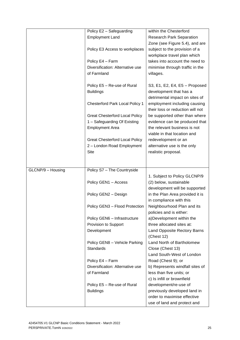|                   | Policy E2 - Safeguarding               | within the Chesterford                                           |
|-------------------|----------------------------------------|------------------------------------------------------------------|
|                   | <b>Employment Land</b>                 | <b>Research Park Separation</b>                                  |
|                   |                                        | Zone (see Figure 5.4), and are                                   |
|                   |                                        |                                                                  |
|                   | Policy E3 Access to workplaces         | subject to the provision of a                                    |
|                   |                                        | workplace travel plan which                                      |
|                   | Policy E4 - Farm                       | takes into account the need to                                   |
|                   | Diversification: Alternative use       | minimise through traffic in the                                  |
|                   | of Farmland                            | villages.                                                        |
|                   |                                        |                                                                  |
|                   | Policy E5 - Re-use of Rural            | S3, E1, E2, E4, E5 - Proposed                                    |
|                   | <b>Buildings</b>                       | development that has a<br>detrimental impact on sites of         |
|                   | <b>Chesterford Park Local Policy 1</b> | employment including causing<br>their loss or reduction will not |
|                   | <b>Great Chesterford Local Policy</b>  | be supported other than where                                    |
|                   | 1 - Safeguarding Of Existing           | evidence can be produced that                                    |
|                   | <b>Employment Area</b>                 | the relevant business is not                                     |
|                   |                                        | viable in that location and                                      |
|                   | <b>Great Chesterford Local Policy</b>  | redevelopment or an                                              |
|                   | 2 - London Road Employment             | alternative use is the only                                      |
|                   | <b>Site</b>                            | realistic proposal.                                              |
|                   |                                        |                                                                  |
|                   |                                        |                                                                  |
|                   |                                        |                                                                  |
|                   |                                        |                                                                  |
| GLCNP/9 - Housing | Policy S7 - The Countryside            |                                                                  |
|                   |                                        | 1. Subject to Policy GLCNP/9                                     |
|                   | Policy GEN1 - Access                   | (2) below, sustainable                                           |
|                   |                                        | development will be supported                                    |
|                   | Policy GEN2 - Design                   | in the Plan Area provided it is                                  |
|                   |                                        | in compliance with this                                          |
|                   | Policy GEN3 - Flood Protection         | Neighbourhood Plan and its                                       |
|                   |                                        | policies and is either:                                          |
|                   | Policy GEN6 - Infrastructure           | a)Development within the                                         |
|                   | Provision to Support                   | three allocated sites at:                                        |
|                   | Development                            | Land Opposite Rectory Barns                                      |
|                   |                                        | (Chest 12)                                                       |
|                   | Policy GEN8 - Vehicle Parking          | Land North of Bartholomew                                        |
|                   | <b>Standards</b>                       | Close (Chest 13)                                                 |
|                   |                                        | Land South-West of London                                        |
|                   | Policy E4 - Farm                       |                                                                  |
|                   |                                        | Road (Chest 9); or                                               |
|                   | Diversification: Alternative use       | b) Represents windfall sites of                                  |
|                   | of Farmland                            | less than five units; or                                         |
|                   |                                        | c) Is infill or brownfield                                       |
|                   | Policy E5 - Re-use of Rural            | development/re-use of                                            |
|                   | <b>Buildings</b>                       | previously developed land in                                     |
|                   |                                        | order to maximise effective<br>use of land and protect and       |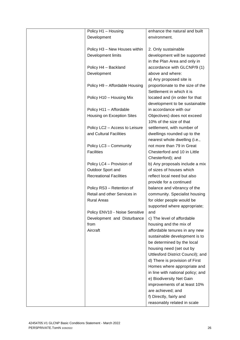| Policy H1 - Housing                 | enhance the natural and built                          |
|-------------------------------------|--------------------------------------------------------|
| Development                         | environment.                                           |
|                                     |                                                        |
| Policy H3 - New Houses within       | 2. Only sustainable                                    |
| Development limits                  | development will be supported                          |
|                                     | in the Plan Area and only in                           |
| Policy H4 - Backland                | accordance with GLCNP/9 (1)                            |
| Development                         | above and where:                                       |
|                                     | a) Any proposed site is                                |
| Policy H9 - Affordable Housing      | proportionate to the size of the                       |
|                                     | Settlement in which it is                              |
| Policy H10 - Housing Mix            | located and (in order for that                         |
|                                     | development to be sustainable                          |
|                                     | in accordance with our                                 |
| Policy H11 - Affordable             |                                                        |
| Housing on Exception Sites          | Objectives) does not exceed<br>10% of the size of that |
| Policy LC2 - Access to Leisure      | settlement, with number of                             |
| and Cultural Facilities             | dwellings rounded up to the                            |
|                                     | nearest whole dwelling (i.e.,                          |
| Policy LC3 - Community              | not more than 79 in Great                              |
| <b>Facilities</b>                   | Chesterford and 10 in Little                           |
|                                     | Chesterford); and                                      |
| Policy LC4 - Provision of           | b) Any proposals include a mix                         |
| Outdoor Sport and                   | of sizes of houses which                               |
| <b>Recreational Facilities</b>      | reflect local need but also                            |
|                                     | provide for a continued                                |
| Policy RS3 - Retention of           | balance and vibrancy of the                            |
| Retail and other Services in        | community. Specialist housing                          |
| <b>Rural Areas</b>                  | for older people would be                              |
|                                     | supported where appropriate;                           |
| Policy ENV10 - Noise Sensitive      | and                                                    |
|                                     |                                                        |
| Development and Disturbance<br>from | c) The level of affordable<br>housing and the mix of   |
| Aircraft                            |                                                        |
|                                     | affordable tenures in any new                          |
|                                     | sustainable development is to                          |
|                                     | be determined by the local                             |
|                                     | housing need (set out by                               |
|                                     | Uttlesford District Council); and                      |
|                                     | d) There is provision of First                         |
|                                     | Homes where appropriate and                            |
|                                     | in line with national policy; and                      |
|                                     | e) Biodiversity Net Gain                               |
|                                     | improvements of at least 10%                           |
|                                     | are achieved; and                                      |
|                                     | f) Directly, fairly and                                |
|                                     | reasonably related in scale                            |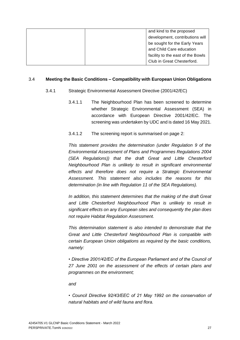|  | and kind to the proposed          |
|--|-----------------------------------|
|  | development, contributions will   |
|  | be sought for the Early Years     |
|  | and Child Care education          |
|  | facility to the east of the Bowls |
|  | Club in Great Chesterford.        |
|  |                                   |

#### 3.4 **Meeting the Basic Conditions – Compatibility with European Union Obligations**

- 3.4.1 Strategic Environmental Assessment Directive (2001/42/EC)
	- 3.4.1.1 The Neighbourhood Plan has been screened to determine whether Strategic Environmental Assessment (SEA) in accordance with European Directive 2001/42/EC. The screening was undertaken by UDC and is dated 16 May 2021.
	- 3.4.1.2 The screening report is summarised on page 2:

*This statement provides the determination (under Regulation 9 of the Environmental Assessment of Plans and Programmes Regulations 2004 (SEA Regulations)) that the draft Great and Little Chesterford Neighbourhood Plan is unlikely to result in significant environmental effects and therefore does not require a Strategic Environmental Assessment. This statement also includes the reasons for this determination (in line with Regulation 11 of the SEA Regulations).*

*In addition, this statement determines that the making of the draft Great and Little Chesterford Neighbourhood Plan is unlikely to result in significant effects on any European sites and consequently the plan does not require Habitat Regulation Assessment.*

*This determination statement is also intended to demonstrate that the Great and Little Chesterford Neighbourhood Plan is compatible with certain European Union obligations as required by the basic conditions, namely:*

*• Directive 2001/42/EC of the European Parliament and of the Council of 27 June 2001 on the assessment of the effects of certain plans and programmes on the environment;*

*and*

*• Council Directive 92/43/EEC of 21 May 1992 on the conservation of natural habitats and of wild fauna and flora.*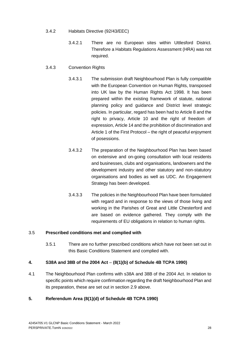- 3.4.2 Habitats Directive (92/43/EEC)
	- 3.4.2.1 There are no European sites within Uttlesford District. Therefore a Habitats Regulations Assessment (HRA) was not required.

#### 3.4.3 Convention Rights

- 3.4.3.1 The submission draft Neighbourhood Plan is fully compatible with the European Convention on Human Rights, transposed into UK law by the Human Rights Act 1998. It has been prepared within the existing framework of statute, national planning policy and guidance and District level strategic policies. In particular, regard has been had to Article 8 and the right to privacy, Article 10 and the right of freedom of expression, Article 14 and the prohibition of discrimination and Article 1 of the First Protocol – the right of peaceful enjoyment of posessions.
- 3.4.3.2 The preparation of the Neighbourhood Plan has been based on extensive and on-going consultation with local residents and businesses, clubs and organisations, landowners and the development industry and other statutory and non-statutory organisations and bodies as well as UDC. An Engagement Strategy has been developed.
- 3.4.3.3 The policies in the Neighbourhood Plan have been formulated with regard and in response to the views of those living and working in the Parishes of Great and Little Chesterford and are based on evidence gathered. They comply with the requirements of EU obligations in relation to human rights.

#### 3.5 **Prescribed conditions met and complied with**

3.5.1 There are no further prescribed conditions which have not been set out in this Basic Conditions Statement and complied with.

## **4. S38A and 38B of the 2004 Act** – **(8(1)(b) of Schedule 4B TCPA 1990)**

4.1 The Neighbourhood Plan confirms with s38A and 38B of the 2004 Act. In relation to specific points which require confirmation regarding the draft Neighbourhood Plan and its preparation, these are set out in section 2.9 above.

#### **5. Referendum Area (8(1)(d) of Schedule 4B TCPA 1990)**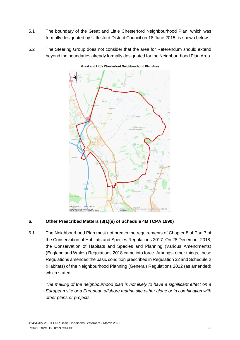- 5.1 The boundary of the Great and Little Chesterford Neighbourhood Plan, which was formally designated by Uttlesford District Council on 18 June 2015, is shown below.
- 5.2 The Steering Group does not consider that the area for Referendum should extend beyond the boundaries already formally designated for the Neighbourhood Plan Area.



**Great and Little Chesterford Neighbourhood Plan Area** 

## **6. Other Prescribed Matters (8(1)(e) of Schedule 4B TCPA 1990)**

6.1 The Neighbourhood Plan must not breach the requirements of Chapter 8 of Part 7 of the Conservation of Habitats and Species Regulations 2017. On 28 December 2018, the Conservation of Habitats and Species and Planning (Various Amendments) (England and Wales) Regulations 2018 came into force. Amongst other things, these Regulations amended the basic condition prescribed in Regulation 32 and Schedule 2 (Habitats) of the Neighbourhood Planning (General) Regulations 2012 (as amended) which stated:

*The making of the neighbourhood plan is not likely to have a significant effect on a European site or a European offshore marine site either alone or in combination with other plans or projects.*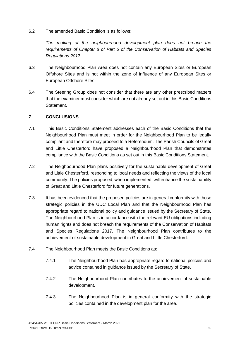6.2 The amended Basic Condition is as follows:

*The making of the neighbourhood development plan does not breach the requirements of Chapter 8 of Part 6 of the Conservation of Habitats and Species Regulations 2017.* 

- 6.3 The Neighbourhood Plan Area does not contain any European Sites or European Offshore Sites and is not within the zone of influence of any European Sites or European Offshore Sites.
- 6.4 The Steering Group does not consider that there are any other prescribed matters that the examiner must consider which are not already set out in this Basic Conditions Statement.

#### **7. CONCLUSIONS**

- 7.1 This Basic Conditions Statement addresses each of the Basic Conditions that the Neighbourhood Plan must meet in order for the Neighbourhood Plan to be legally compliant and therefore may proceed to a Referendum. The Parish Councils of Great and Little Chesterford have proposed a Neighbourhood Plan that demonstrates compliance with the Basic Conditions as set out in this Basic Conditions Statement.
- 7.2 The Neighbourhood Plan plans positively for the sustainable development of Great and Little Chesterford, responding to local needs and reflecting the views of the local community. The policies proposed, when implemented, will enhance the sustainability of Great and Little Chesterford for future generations.
- 7.3 It has been evidenced that the proposed policies are in general conformity with those strategic policies in the UDC Local Plan and that the Neighbourhood Plan has appropriate regard to national policy and guidance issued by the Secretary of State. The Neighbourhood Plan is in accordance with the relevant EU obligations including human rights and does not breach the requirements of the Conservation of Habitats and Species Regulations 2017. The Neighbourhood Plan contributes to the achievement of sustainable development in Great and Little Chesterford.
- 7.4 The Neighbourhood Plan meets the Basic Conditions as:
	- 7.4.1 The Neighbourhood Plan has appropriate regard to national policies and advice contained in guidance issued by the Secretary of State.
	- 7.4.2 The Neighbourhood Plan contributes to the achievement of sustainable development.
	- 7.4.3 The Neighbourhood Plan is in general conformity with the strategic policies contained in the development plan for the area.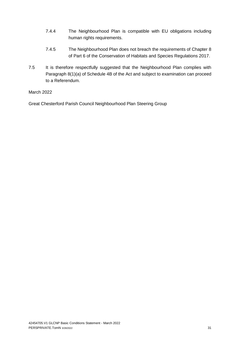- 7.4.4 The Neighbourhood Plan is compatible with EU obligations including human rights requirements.
- 7.4.5 The Neighbourhood Plan does not breach the requirements of Chapter 8 of Part 6 of the Conservation of Habitats and Species Regulations 2017.
- 7.5 It is therefore respectfully suggested that the Neighbourhood Plan complies with Paragraph 8(1)(a) of Schedule 4B of the Act and subject to examination can proceed to a Referendum.

March 2022

Great Chesterford Parish Council Neighbourhood Plan Steering Group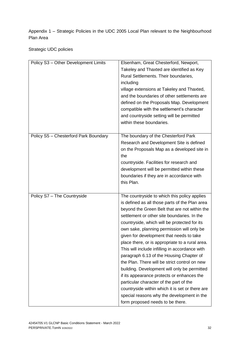Appendix 1 – Strategic Policies in the UDC 2005 Local Plan relevant to the Neighbourhood Plan Area

Strategic UDC policies

| Policy S3 - Other Development Limits  | Elsenham, Great Chesterford, Newport,           |
|---------------------------------------|-------------------------------------------------|
|                                       | Takeley and Thaxted are identified as Key       |
|                                       | Rural Settlements. Their boundaries,            |
|                                       | including                                       |
|                                       | village extensions at Takeley and Thaxted,      |
|                                       | and the boundaries of other settlements are     |
|                                       | defined on the Proposals Map. Development       |
|                                       | compatible with the settlement's character      |
|                                       |                                                 |
|                                       | and countryside setting will be permitted       |
|                                       | within these boundaries.                        |
|                                       |                                                 |
| Policy S5 - Chesterford Park Boundary | The boundary of the Chesterford Park            |
|                                       | Research and Development Site is defined        |
|                                       | on the Proposals Map as a developed site in     |
|                                       | the                                             |
|                                       | countryside. Facilities for research and        |
|                                       | development will be permitted within these      |
|                                       | boundaries if they are in accordance with       |
|                                       | this Plan.                                      |
|                                       |                                                 |
| Policy S7 - The Countryside           | The countryside to which this policy applies    |
|                                       | is defined as all those parts of the Plan area  |
|                                       | beyond the Green Belt that are not within the   |
|                                       | settlement or other site boundaries. In the     |
|                                       | countryside, which will be protected for its    |
|                                       | own sake, planning permission will only be      |
|                                       | given for development that needs to take        |
|                                       | place there, or is appropriate to a rural area. |
|                                       | This will include infilling in accordance with  |
|                                       | paragraph 6.13 of the Housing Chapter of        |
|                                       | the Plan. There will be strict control on new   |
|                                       | building. Development will only be permitted    |
|                                       | if its appearance protects or enhances the      |
|                                       | particular character of the part of the         |
|                                       | countryside within which it is set or there are |
|                                       | special reasons why the development in the      |
|                                       |                                                 |
|                                       | form proposed needs to be there.                |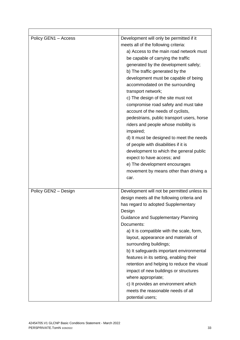| Policy GEN1 - Access | Development will only be permitted if it<br>meets all of the following criteria:<br>a) Access to the main road network must<br>be capable of carrying the traffic<br>generated by the development safely;<br>b) The traffic generated by the<br>development must be capable of being<br>accommodated on the surrounding<br>transport network;<br>c) The design of the site must not<br>compromise road safety and must take<br>account of the needs of cyclists,<br>pedestrians, public transport users, horse<br>riders and people whose mobility is<br>impaired;<br>d) It must be designed to meet the needs<br>of people with disabilities if it is<br>development to which the general public<br>expect to have access; and<br>e) The development encourages<br>movement by means other than driving a<br>car. |
|----------------------|--------------------------------------------------------------------------------------------------------------------------------------------------------------------------------------------------------------------------------------------------------------------------------------------------------------------------------------------------------------------------------------------------------------------------------------------------------------------------------------------------------------------------------------------------------------------------------------------------------------------------------------------------------------------------------------------------------------------------------------------------------------------------------------------------------------------|
| Policy GEN2 - Design | Development will not be permitted unless its<br>design meets all the following criteria and<br>has regard to adopted Supplementary<br>Design<br><b>Guidance and Supplementary Planning</b><br>Documents:<br>a) It is compatible with the scale, form,<br>layout, appearance and materials of<br>surrounding buildings;<br>b) It safeguards important environmental<br>features in its setting, enabling their<br>retention and helping to reduce the visual<br>impact of new buildings or structures<br>where appropriate;<br>c) It provides an environment which<br>meets the reasonable needs of all<br>potential users;                                                                                                                                                                                         |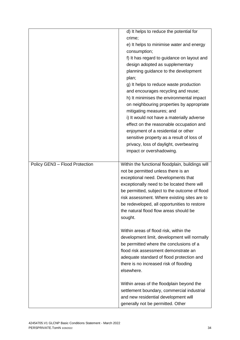|                                | d) It helps to reduce the potential for<br>crime; |
|--------------------------------|---------------------------------------------------|
|                                |                                                   |
|                                | e) It helps to minimise water and energy          |
|                                | consumption;                                      |
|                                | f) It has regard to guidance on layout and        |
|                                | design adopted as supplementary                   |
|                                | planning guidance to the development              |
|                                | plan;                                             |
|                                | g) It helps to reduce waste production            |
|                                | and encourages recycling and reuse;               |
|                                | h) It minimises the environmental impact          |
|                                | on neighbouring properties by appropriate         |
|                                | mitigating measures; and                          |
|                                | i) It would not have a materially adverse         |
|                                | effect on the reasonable occupation and           |
|                                | enjoyment of a residential or other               |
|                                | sensitive property as a result of loss of         |
|                                |                                                   |
|                                | privacy, loss of daylight, overbearing            |
|                                | impact or overshadowing.                          |
|                                |                                                   |
| Policy GEN3 - Flood Protection | Within the functional floodplain, buildings will  |
|                                | not be permitted unless there is an               |
|                                | exceptional need. Developments that               |
|                                | exceptionally need to be located there will       |
|                                | be permitted, subject to the outcome of flood     |
|                                | risk assessment. Where existing sites are to      |
|                                | be redeveloped, all opportunities to restore      |
|                                | the natural flood flow areas should be            |
|                                | sought.                                           |
|                                |                                                   |
|                                | Within areas of flood risk, within the            |
|                                | development limit, development will normally      |
|                                | be permitted where the conclusions of a           |
|                                | flood risk assessment demonstrate an              |
|                                | adequate standard of flood protection and         |
|                                | there is no increased risk of flooding            |
|                                | elsewhere.                                        |
|                                |                                                   |
|                                | Within areas of the floodplain beyond the         |
|                                | settlement boundary, commercial industrial        |
|                                |                                                   |
|                                | and new residential development will              |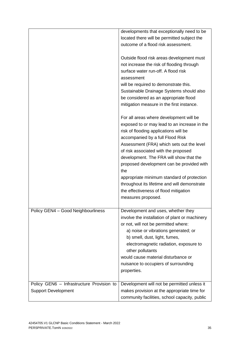|                                                                         | developments that exceptionally need to be<br>located there will be permitted subject the<br>outcome of a flood risk assessment.                                                                                                                                                                                                                                                                                                                                                                                      |
|-------------------------------------------------------------------------|-----------------------------------------------------------------------------------------------------------------------------------------------------------------------------------------------------------------------------------------------------------------------------------------------------------------------------------------------------------------------------------------------------------------------------------------------------------------------------------------------------------------------|
|                                                                         | Outside flood risk areas development must<br>not increase the risk of flooding through<br>surface water run-off. A flood risk<br>assessment<br>will be required to demonstrate this.<br>Sustainable Drainage Systems should also<br>be considered as an appropriate flood<br>mitigation measure in the first instance.                                                                                                                                                                                                |
|                                                                         | For all areas where development will be<br>exposed to or may lead to an increase in the<br>risk of flooding applications will be<br>accompanied by a full Flood Risk<br>Assessment (FRA) which sets out the level<br>of risk associated with the proposed<br>development. The FRA will show that the<br>proposed development can be provided with<br>the<br>appropriate minimum standard of protection<br>throughout its lifetime and will demonstrate<br>the effectiveness of flood mitigation<br>measures proposed. |
| Policy GEN4 - Good Neighbourliness                                      | Development and uses, whether they<br>involve the installation of plant or machinery<br>or not, will not be permitted where:<br>a) noise or vibrations generated; or<br>b) smell, dust, light, fumes,<br>electromagnetic radiation, exposure to<br>other pollutants<br>would cause material disturbance or<br>nuisance to occupiers of surrounding<br>properties.                                                                                                                                                     |
| Policy GEN6 - Infrastructure Provision to<br><b>Support Development</b> | Development will not be permitted unless it<br>makes provision at the appropriate time for<br>community facilities, school capacity, public                                                                                                                                                                                                                                                                                                                                                                           |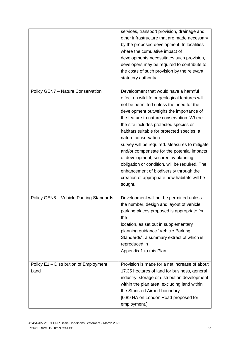|                                                | services, transport provision, drainage and<br>other infrastructure that are made necessary<br>by the proposed development. In localities<br>where the cumulative impact of<br>developments necessitates such provision,<br>developers may be required to contribute to<br>the costs of such provision by the relevant<br>statutory authority.                                                                                                                                                                                                                                                                                            |
|------------------------------------------------|-------------------------------------------------------------------------------------------------------------------------------------------------------------------------------------------------------------------------------------------------------------------------------------------------------------------------------------------------------------------------------------------------------------------------------------------------------------------------------------------------------------------------------------------------------------------------------------------------------------------------------------------|
| Policy GEN7 - Nature Conservation              | Development that would have a harmful<br>effect on wildlife or geological features will<br>not be permitted unless the need for the<br>development outweighs the importance of<br>the feature to nature conservation. Where<br>the site includes protected species or<br>habitats suitable for protected species, a<br>nature conservation<br>survey will be required. Measures to mitigate<br>and/or compensate for the potential impacts<br>of development, secured by planning<br>obligation or condition, will be required. The<br>enhancement of biodiversity through the<br>creation of appropriate new habitats will be<br>sought. |
| Policy GEN8 - Vehicle Parking Standards        | Development will not be permitted unless<br>the number, design and layout of vehicle<br>parking places proposed is appropriate for<br>the<br>location, as set out in supplementary<br>planning guidance "Vehicle Parking<br>Standards", a summary extract of which is<br>reproduced in<br>Appendix 1 to this Plan.                                                                                                                                                                                                                                                                                                                        |
| Policy E1 - Distribution of Employment<br>Land | Provision is made for a net increase of about<br>17.35 hectares of land for business, general<br>industry, storage or distribution development<br>within the plan area, excluding land within<br>the Stansted Airport boundary.<br>[0.89 HA on London Road proposed for<br>employment.]                                                                                                                                                                                                                                                                                                                                                   |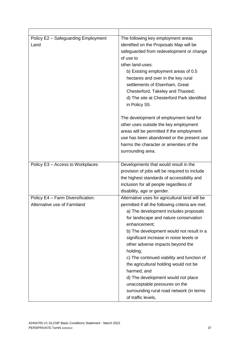| Policy E2 - Safeguarding Employment<br>Land                      | The following key employment areas<br>identified on the Proposals Map will be<br>safeguarded from redevelopment or change<br>of use to<br>other land-uses:<br>b) Existing employment areas of 0.5<br>hectares and over in the key rural<br>settlements of Elsenham, Great<br>Chesterford, Takeley and Thaxted;<br>d) The site at Chesterford Park identified<br>in Policy S5.                                                                                                                                                                                                              |
|------------------------------------------------------------------|--------------------------------------------------------------------------------------------------------------------------------------------------------------------------------------------------------------------------------------------------------------------------------------------------------------------------------------------------------------------------------------------------------------------------------------------------------------------------------------------------------------------------------------------------------------------------------------------|
|                                                                  | The development of employment land for<br>other uses outside the key employment<br>areas will be permitted if the employment<br>use has been abandoned or the present use<br>harms the character or amenities of the<br>surrounding area.                                                                                                                                                                                                                                                                                                                                                  |
| Policy E3 - Access to Workplaces                                 | Developments that would result in the<br>provision of jobs will be required to include<br>the highest standards of accessibility and<br>inclusion for all people regardless of<br>disability, age or gender.                                                                                                                                                                                                                                                                                                                                                                               |
| Policy E4 - Farm Diversification:<br>Alternative use of Farmland | Alternative uses for agricultural land will be<br>permitted if all the following criteria are met:<br>a) The development includes proposals<br>for landscape and nature conservation<br>enhancement;<br>b) The development would not result in a<br>significant increase in noise levels or<br>other adverse impacts beyond the<br>holding;<br>c) The continued viability and function of<br>the agricultural holding would not be<br>harmed; and<br>d) The development would not place<br>unacceptable pressures on the<br>surrounding rural road network (in terms<br>of traffic levels, |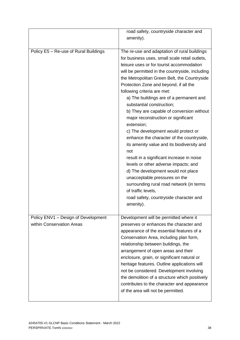|                                                                  | road safety, countryside character and                                                                                                                                                                                                                                                                                                                                                                                                                                                                                                                                                                                                                                                                                                                                                                                                                                                                                          |
|------------------------------------------------------------------|---------------------------------------------------------------------------------------------------------------------------------------------------------------------------------------------------------------------------------------------------------------------------------------------------------------------------------------------------------------------------------------------------------------------------------------------------------------------------------------------------------------------------------------------------------------------------------------------------------------------------------------------------------------------------------------------------------------------------------------------------------------------------------------------------------------------------------------------------------------------------------------------------------------------------------|
|                                                                  | amenity).                                                                                                                                                                                                                                                                                                                                                                                                                                                                                                                                                                                                                                                                                                                                                                                                                                                                                                                       |
|                                                                  |                                                                                                                                                                                                                                                                                                                                                                                                                                                                                                                                                                                                                                                                                                                                                                                                                                                                                                                                 |
| Policy E5 - Re-use of Rural Buildings                            | The re-use and adaptation of rural buildings<br>for business uses, small scale retail outlets,<br>leisure uses or for tourist accommodation<br>will be permitted in the countryside, including<br>the Metropolitan Green Belt, the Countryside<br>Protection Zone and beyond, if all the<br>following criteria are met:<br>a) The buildings are of a permanent and<br>substantial construction;<br>b) They are capable of conversion without<br>major reconstruction or significant<br>extension;<br>c) The development would protect or<br>enhance the character of the countryside,<br>its amenity value and its biodiversity and<br>not<br>result in a significant increase in noise<br>levels or other adverse impacts; and<br>d) The development would not place<br>unacceptable pressures on the<br>surrounding rural road network (in terms<br>of traffic levels,<br>road safety, countryside character and<br>amenity). |
| Policy ENV1 - Design of Development<br>within Conservation Areas | Development will be permitted where it<br>preserves or enhances the character and<br>appearance of the essential features of a<br>Conservation Area, including plan form,<br>relationship between buildings, the<br>arrangement of open areas and their<br>enclosure, grain, or significant natural or<br>heritage features. Outline applications will<br>not be considered. Development involving<br>the demolition of a structure which positively<br>contributes to the character and appearance<br>of the area will not be permitted.                                                                                                                                                                                                                                                                                                                                                                                       |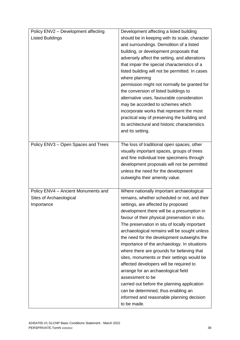| Policy ENV2 - Development affecting | Development affecting a listed building                                                  |
|-------------------------------------|------------------------------------------------------------------------------------------|
| <b>Listed Buildings</b>             | should be in keeping with its scale, character                                           |
|                                     | and surroundings. Demolition of a listed                                                 |
|                                     | building, or development proposals that                                                  |
|                                     | adversely affect the setting, and alterations                                            |
|                                     | that impair the special characteristics of a                                             |
|                                     | listed building will not be permitted. In cases                                          |
|                                     | where planning                                                                           |
|                                     | permission might not normally be granted for                                             |
|                                     | the conversion of listed buildings to                                                    |
|                                     | alternative uses, favourable consideration                                               |
|                                     | may be accorded to schemes which                                                         |
|                                     | incorporate works that represent the most                                                |
|                                     | practical way of preserving the building and                                             |
|                                     | its architectural and historic characteristics                                           |
|                                     | and its setting.                                                                         |
|                                     |                                                                                          |
| Policy ENV3 - Open Spaces and Trees | The loss of traditional open spaces, other                                               |
|                                     | visually important spaces, groups of trees<br>and fine individual tree specimens through |
|                                     | development proposals will not be permitted                                              |
|                                     | unless the need for the development                                                      |
|                                     | outweighs their amenity value.                                                           |
|                                     |                                                                                          |
| Policy ENV4 - Ancient Monuments and | Where nationally important archaeological                                                |
| Sites of Archaeological             | remains, whether scheduled or not, and their                                             |
| Importance                          | settings, are affected by proposed                                                       |
|                                     | development there will be a presumption in                                               |
|                                     | favour of their physical preservation in situ.                                           |
|                                     | The preservation in situ of locally important                                            |
|                                     | archaeological remains will be sought unless                                             |
|                                     | the need for the development outweighs the                                               |
|                                     | importance of the archaeology. In situations                                             |
|                                     | where there are grounds for believing that                                               |
|                                     | sites, monuments or their settings would be                                              |
|                                     | affected developers will be required to                                                  |
|                                     | arrange for an archaeological field                                                      |
|                                     | assessment to be                                                                         |
|                                     | carried out before the planning application                                              |
|                                     | can be determined, thus enabling an                                                      |
|                                     | informed and reasonable planning decision                                                |
|                                     | to be made.                                                                              |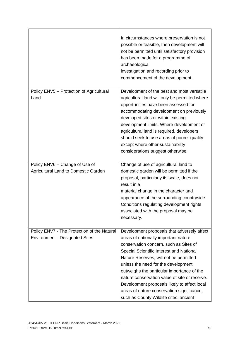|                                                                                      | In circumstances where preservation is not<br>possible or feasible, then development will<br>not be permitted until satisfactory provision<br>has been made for a programme of<br>archaeological<br>investigation and recording prior to<br>commencement of the development.                                                                                                                                                                                                                      |
|--------------------------------------------------------------------------------------|---------------------------------------------------------------------------------------------------------------------------------------------------------------------------------------------------------------------------------------------------------------------------------------------------------------------------------------------------------------------------------------------------------------------------------------------------------------------------------------------------|
| Policy ENV5 - Protection of Agricultural<br>Land                                     | Development of the best and most versatile<br>agricultural land will only be permitted where<br>opportunities have been assessed for<br>accommodating development on previously<br>developed sites or within existing<br>development limits. Where development of<br>agricultural land is required, developers<br>should seek to use areas of poorer quality<br>except where other sustainability<br>considerations suggest otherwise.                                                            |
| Policy ENV6 - Change of Use of<br>Agricultural Land to Domestic Garden               | Change of use of agricultural land to<br>domestic garden will be permitted if the<br>proposal, particularly its scale, does not<br>result in a<br>material change in the character and<br>appearance of the surrounding countryside.<br>Conditions regulating development rights<br>associated with the proposal may be<br>necessary.                                                                                                                                                             |
| Policy ENV7 - The Protection of the Natural<br><b>Environment - Designated Sites</b> | Development proposals that adversely affect<br>areas of nationally important nature<br>conservation concern, such as Sites of<br>Special Scientific Interest and National<br>Nature Reserves, will not be permitted<br>unless the need for the development<br>outweighs the particular importance of the<br>nature conservation value of site or reserve.<br>Development proposals likely to affect local<br>areas of nature conservation significance,<br>such as County Wildlife sites, ancient |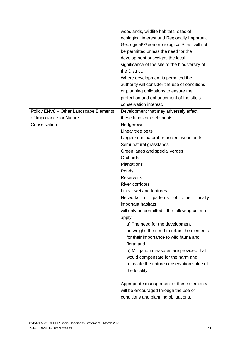|                                        | woodlands, wildlife habitats, sites of                                  |
|----------------------------------------|-------------------------------------------------------------------------|
|                                        | ecological interest and Regionally Important                            |
|                                        | Geological/ Geomorphological Sites, will not                            |
|                                        | be permitted unless the need for the                                    |
|                                        | development outweighs the local                                         |
|                                        | significance of the site to the biodiversity of                         |
|                                        | the District.                                                           |
|                                        | Where development is permitted the                                      |
|                                        | authority will consider the use of conditions                           |
|                                        | or planning obligations to ensure the                                   |
|                                        | protection and enhancement of the site's                                |
|                                        | conservation interest.                                                  |
| Policy ENV8 - Other Landscape Elements | Development that may adversely affect                                   |
| of Importance for Nature               | these landscape elements                                                |
| Conservation                           | Hedgerows                                                               |
|                                        | Linear tree belts                                                       |
|                                        | Larger semi natural or ancient woodlands                                |
|                                        | Semi-natural grasslands                                                 |
|                                        | Green lanes and special verges                                          |
|                                        | Orchards                                                                |
|                                        | Plantations                                                             |
|                                        | Ponds                                                                   |
|                                        | <b>Reservoirs</b>                                                       |
|                                        | <b>River corridors</b>                                                  |
|                                        | Linear wetland features                                                 |
|                                        | Networks or<br>other<br>locally<br>patterns<br>0f<br>important habitats |
|                                        | will only be permitted if the following criteria                        |
|                                        | apply:                                                                  |
|                                        | a) The need for the development                                         |
|                                        | outweighs the need to retain the elements                               |
|                                        | for their importance to wild fauna and                                  |
|                                        | flora; and                                                              |
|                                        | b) Mitigation measures are provided that                                |
|                                        | would compensate for the harm and                                       |
|                                        | reinstate the nature conservation value of                              |
|                                        | the locality.                                                           |
|                                        | Appropriate management of these elements                                |
|                                        | will be encouraged through the use of                                   |
|                                        | conditions and planning obligations.                                    |
|                                        |                                                                         |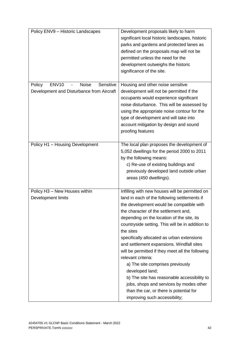| Policy ENV9 - Historic Landscapes                                                                | Development proposals likely to harm<br>significant local historic landscapes, historic<br>parks and gardens and protected lanes as<br>defined on the proposals map will not be<br>permitted unless the need for the<br>development outweighs the historic<br>significance of the site.                                                                                                                                                                                                                                                                                                                                                                                                             |
|--------------------------------------------------------------------------------------------------|-----------------------------------------------------------------------------------------------------------------------------------------------------------------------------------------------------------------------------------------------------------------------------------------------------------------------------------------------------------------------------------------------------------------------------------------------------------------------------------------------------------------------------------------------------------------------------------------------------------------------------------------------------------------------------------------------------|
| <b>ENV10</b><br>Sensitive<br>Policy<br><b>Noise</b><br>Development and Disturbance from Aircraft | Housing and other noise sensitive<br>development will not be permitted if the<br>occupants would experience significant<br>noise disturbance. This will be assessed by<br>using the appropriate noise contour for the<br>type of development and will take into<br>account mitigation by design and sound<br>proofing features                                                                                                                                                                                                                                                                                                                                                                      |
| Policy H1 - Housing Development                                                                  | The local plan proposes the development of<br>5,052 dwellings for the period 2000 to 2011<br>by the following means:<br>c) Re-use of existing buildings and<br>previously developed land outside urban<br>areas (450 dwellings).                                                                                                                                                                                                                                                                                                                                                                                                                                                                    |
| Policy H3 - New Houses within<br>Development limits                                              | Infilling with new houses will be permitted on<br>land in each of the following settlements if<br>the development would be compatible with<br>the character of the settlement and,<br>depending on the location of the site, its<br>countryside setting. This will be in addition to<br>the sites<br>specifically allocated as urban extensions<br>and settlement expansions. Windfall sites<br>will be permitted if they meet all the following<br>relevant criteria:<br>a) The site comprises previously<br>developed land;<br>b) The site has reasonable accessibility to<br>jobs, shops and services by modes other<br>than the car, or there is potential for<br>improving such accessibility; |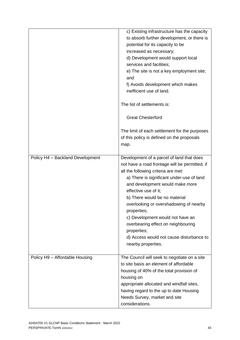|                                  | c) Existing infrastructure has the capacity<br>to absorb further development, or there is<br>potential for its capacity to be<br>increased as necessary;<br>d) Development would support local<br>services and facilities;<br>e) The site is not a key employment site;<br>and<br>f) Avoids development which makes<br>inefficient use of land.<br>The list of settlements is:                                                                                                                  |
|----------------------------------|-------------------------------------------------------------------------------------------------------------------------------------------------------------------------------------------------------------------------------------------------------------------------------------------------------------------------------------------------------------------------------------------------------------------------------------------------------------------------------------------------|
|                                  | <b>Great Chesterford</b>                                                                                                                                                                                                                                                                                                                                                                                                                                                                        |
|                                  | The limit of each settlement for the purposes<br>of this policy is defined on the proposals<br>map.                                                                                                                                                                                                                                                                                                                                                                                             |
| Policy H4 - Backland Development | Development of a parcel of land that does<br>not have a road frontage will be permitted, if<br>all the following criteria are met:<br>a) There is significant under-use of land<br>and development would make more<br>effective use of it;<br>b) There would be no material<br>overlooking or overshadowing of nearby<br>properties;<br>c) Development would not have an<br>overbearing effect on neighbouring<br>properties;<br>d) Access would not cause disturbance to<br>nearby properties. |
| Policy H9 - Affordable Housing   | The Council will seek to negotiate on a site<br>to site basis an element of affordable<br>housing of 40% of the total provision of<br>housing on<br>appropriate allocated and windfall sites,<br>having regard to the up to date Housing<br>Needs Survey, market and site<br>considerations.                                                                                                                                                                                                    |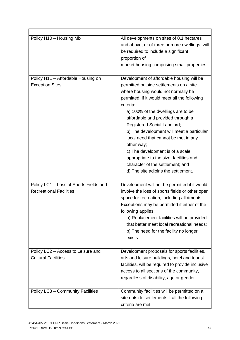| Policy H10 - Housing Mix                                                 | All developments on sites of 0.1 hectares<br>and above, or of three or more dwellings, will<br>be required to include a significant<br>proportion of<br>market housing comprising small properties.                                                                                                                                                                                                                                                                                                                                                              |
|--------------------------------------------------------------------------|------------------------------------------------------------------------------------------------------------------------------------------------------------------------------------------------------------------------------------------------------------------------------------------------------------------------------------------------------------------------------------------------------------------------------------------------------------------------------------------------------------------------------------------------------------------|
| Policy H11 - Affordable Housing on<br><b>Exception Sites</b>             | Development of affordable housing will be<br>permitted outside settlements on a site<br>where housing would not normally be<br>permitted, if it would meet all the following<br>criteria:<br>a) 100% of the dwellings are to be<br>affordable and provided through a<br>Registered Social Landlord;<br>b) The development will meet a particular<br>local need that cannot be met in any<br>other way;<br>c) The development is of a scale<br>appropriate to the size, facilities and<br>character of the settlement; and<br>d) The site adjoins the settlement. |
| Policy LC1 - Loss of Sports Fields and<br><b>Recreational Facilities</b> | Development will not be permitted if it would<br>involve the loss of sports fields or other open<br>space for recreation, including allotments.<br>Exceptions may be permitted if either of the<br>following applies:<br>a) Replacement facilities will be provided<br>that better meet local recreational needs;<br>b) The need for the facility no longer<br>exists.                                                                                                                                                                                           |
| Policy LC2 - Access to Leisure and<br><b>Cultural Facilities</b>         | Development proposals for sports facilities,<br>arts and leisure buildings, hotel and tourist<br>facilities, will be required to provide inclusive<br>access to all sections of the community,<br>regardless of disability, age or gender.                                                                                                                                                                                                                                                                                                                       |
| Policy LC3 - Community Facilities                                        | Community facilities will be permitted on a<br>site outside settlements if all the following<br>criteria are met:                                                                                                                                                                                                                                                                                                                                                                                                                                                |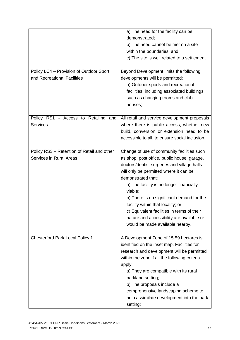|                                            | a) The need for the facility can be            |
|--------------------------------------------|------------------------------------------------|
|                                            | demonstrated;                                  |
|                                            | b) The need cannot be met on a site            |
|                                            | within the boundaries; and                     |
|                                            | c) The site is well related to a settlement.   |
|                                            |                                                |
| Policy LC4 - Provision of Outdoor Sport    | Beyond Development limits the following        |
| and Recreational Facilities                | developments will be permitted:                |
|                                            | a) Outdoor sports and recreational             |
|                                            | facilities, including associated buildings     |
|                                            | such as changing rooms and club-               |
|                                            | houses;                                        |
|                                            |                                                |
| Policy RS1 - Access to Retailing and       | All retail and service development proposals   |
| <b>Services</b>                            | where there is public access, whether new      |
|                                            | build, conversion or extension need to be      |
|                                            | accessible to all, to ensure social inclusion. |
|                                            |                                                |
| Policy RS3 - Retention of Retail and other | Change of use of community facilities such     |
| <b>Services in Rural Areas</b>             | as shop, post office, public house, garage,    |
|                                            | doctors/dentist surgeries and village halls    |
|                                            | will only be permitted where it can be         |
|                                            | demonstrated that:                             |
|                                            | a) The facility is no longer financially       |
|                                            | viable;                                        |
|                                            | b) There is no significant demand for the      |
|                                            | facility within that locality; or              |
|                                            | c) Equivalent facilities in terms of their     |
|                                            | nature and accessibility are available or      |
|                                            |                                                |
|                                            | would be made available nearby.                |
| <b>Chesterford Park Local Policy 1</b>     | A Development Zone of 15.59 hectares is        |
|                                            | identified on the inset map. Facilities for    |
|                                            | research and development will be permitted     |
|                                            |                                                |
|                                            | within the zone if all the following criteria  |
|                                            | apply:                                         |
|                                            | a) They are compatible with its rural          |
|                                            | parkland setting;                              |
|                                            | b) The proposals include a                     |
|                                            | comprehensive landscaping scheme to            |
|                                            | help assimilate development into the park      |
|                                            | setting;                                       |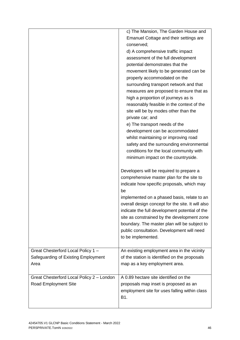|                                           | c) The Mansion, The Garden House and              |
|-------------------------------------------|---------------------------------------------------|
|                                           | Emanuel Cottage and their settings are            |
|                                           | conserved;                                        |
|                                           | d) A comprehensive traffic impact                 |
|                                           | assessment of the full development                |
|                                           | potential demonstrates that the                   |
|                                           | movement likely to be generated can be            |
|                                           | properly accommodated on the                      |
|                                           | surrounding transport network and that            |
|                                           | measures are proposed to ensure that as           |
|                                           | high a proportion of journeys as is               |
|                                           | reasonably feasible in the context of the         |
|                                           | site will be by modes other than the              |
|                                           | private car; and                                  |
|                                           | e) The transport needs of the                     |
|                                           | development can be accommodated                   |
|                                           | whilst maintaining or improving road              |
|                                           | safety and the surrounding environmental          |
|                                           | conditions for the local community with           |
|                                           | minimum impact on the countryside.                |
|                                           |                                                   |
|                                           | Developers will be required to prepare a          |
|                                           | comprehensive master plan for the site to         |
|                                           | indicate how specific proposals, which may        |
|                                           | be                                                |
|                                           | implemented on a phased basis, relate to an       |
|                                           | overall design concept for the site. It will also |
|                                           | indicate the full development potential of the    |
|                                           | site as constrained by the development zone       |
|                                           | boundary. The master plan will be subject to      |
|                                           | public consultation. Development will need        |
|                                           | to be implemented.                                |
|                                           |                                                   |
| Great Chesterford Local Policy 1 -        | An existing employment area in the vicinity       |
| Safeguarding of Existing Employment       | of the station is identified on the proposals     |
| Area                                      | map as a key employment area.                     |
|                                           |                                                   |
| Great Chesterford Local Policy 2 - London | A 0.89 hectare site identified on the             |
| Road Employment Site                      | proposals map inset is proposed as an             |
|                                           | employment site for uses falling within class     |
|                                           | B1.                                               |
|                                           |                                                   |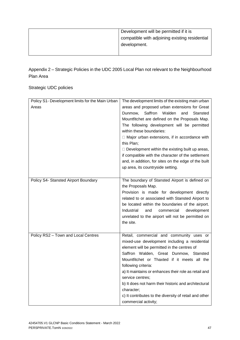| Development will be permitted if it is         |
|------------------------------------------------|
| compatible with adjoining existing residential |
| development.                                   |
|                                                |

Appendix 2 – Strategic Policies in the UDC 2005 Local Plan not relevant to the Neighbourhood Plan Area

Strategic UDC policies

| Policy S1- Development limits for the Main Urban | The development limits of the existing main urban      |
|--------------------------------------------------|--------------------------------------------------------|
| Areas                                            | areas and proposed urban extensions for Great          |
|                                                  | Dunmow,<br>Saffron<br>Walden<br>and<br>Stansted        |
|                                                  | Mountfitchet are defined on the Proposals Map.         |
|                                                  | The following development will be permitted            |
|                                                  | within these boundaries:                               |
|                                                  | □ Major urban extensions, if in accordance with        |
|                                                  | this Plan;                                             |
|                                                  | $\Box$ Development within the existing built up areas, |
|                                                  | if compatible with the character of the settlement     |
|                                                  | and, in addition, for sites on the edge of the built   |
|                                                  | up area, its countryside setting.                      |
|                                                  |                                                        |
| Policy S4- Stansted Airport Boundary             | The boundary of Stansted Airport is defined on         |
|                                                  | the Proposals Map.                                     |
|                                                  | Provision is made for development directly             |
|                                                  | related to or associated with Stansted Airport to      |
|                                                  | be located within the boundaries of the airport.       |
|                                                  | Industrial<br>commercial<br>and<br>development         |
|                                                  | unrelated to the airport will not be permitted on      |
|                                                  | the site.                                              |
|                                                  |                                                        |
| Policy RS2 - Town and Local Centres              | Retail, commercial and community uses or               |
|                                                  | mixed-use development including a residential          |
|                                                  | element will be permitted in the centres of            |
|                                                  | Saffron Walden, Great Dunmow, Stansted                 |
|                                                  | Mountfitchet or Thaxted if it meets all the            |
|                                                  | following criteria:                                    |
|                                                  | a) It maintains or enhances their role as retail and   |
|                                                  | service centres;                                       |
|                                                  | b) It does not harm their historic and architectural   |
|                                                  | character;                                             |
|                                                  | c) It contributes to the diversity of retail and other |
|                                                  | commercial activity;                                   |